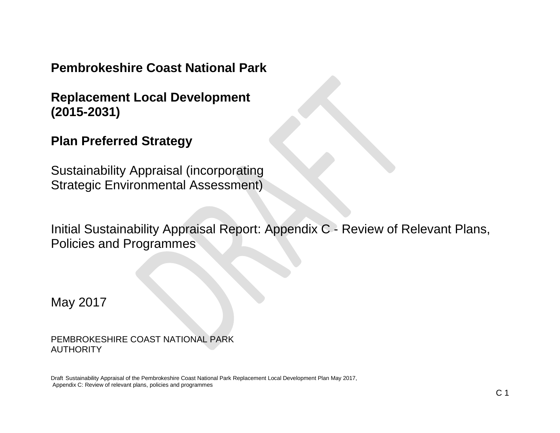**Pembrokeshire Coast National Park**

**Replacement Local Development (2015-2031)**

**Plan Preferred Strategy**

Sustainability Appraisal (incorporating Strategic Environmental Assessment)

Initial Sustainability Appraisal Report: Appendix C - Review of Relevant Plans, Policies and Programmes

May 2017

PEMBROKESHIRE COAST NATIONAL PARK AUTHORITY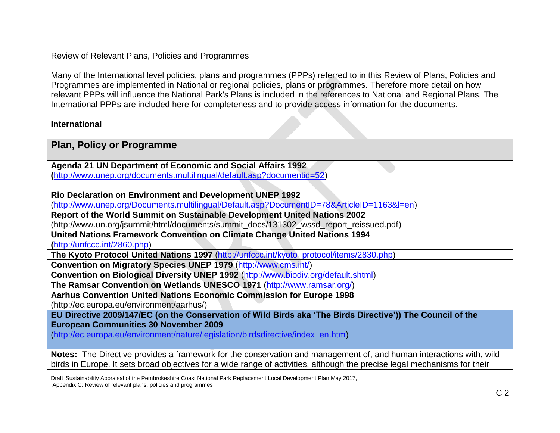Review of Relevant Plans, Policies and Programmes

Many of the International level policies, plans and programmes (PPPs) referred to in this Review of Plans, Policies and Programmes are implemented in National or regional policies, plans or programmes. Therefore more detail on how relevant PPPs will influence the National Park's Plans is included in the references to National and Regional Plans. The International PPPs are included here for completeness and to provide access information for the documents.

### **International**

| <b>Plan, Policy or Programme</b>                                                                                                                                                                                                                 |
|--------------------------------------------------------------------------------------------------------------------------------------------------------------------------------------------------------------------------------------------------|
| Agenda 21 UN Department of Economic and Social Affairs 1992                                                                                                                                                                                      |
| (http://www.unep.org/documents.multilingual/default.asp?documentid=52)                                                                                                                                                                           |
|                                                                                                                                                                                                                                                  |
| <b>Rio Declaration on Environment and Development UNEP 1992</b>                                                                                                                                                                                  |
| (http://www.unep.org/Documents.multilingual/Default.asp?DocumentID=78&ArticleID=1163&I=en)                                                                                                                                                       |
| Report of the World Summit on Sustainable Development United Nations 2002                                                                                                                                                                        |
| (http://www.un.org/jsummit/html/documents/summit_docs/131302_wssd_report_reissued.pdf)                                                                                                                                                           |
| United Nations Framework Convention on Climate Change United Nations 1994                                                                                                                                                                        |
| (http://unfccc.int/2860.php)                                                                                                                                                                                                                     |
| The Kyoto Protocol United Nations 1997 (http://unfccc.int/kyoto_protocol/items/2830.php)                                                                                                                                                         |
| Convention on Migratory Species UNEP 1979 (http://www.cms.int/)                                                                                                                                                                                  |
| Convention on Biological Diversity UNEP 1992 (http://www.biodiv.org/default.shtml)                                                                                                                                                               |
| The Ramsar Convention on Wetlands UNESCO 1971 (http://www.ramsar.org/)                                                                                                                                                                           |
| <b>Aarhus Convention United Nations Economic Commission for Europe 1998</b>                                                                                                                                                                      |
| (http://ec.europa.eu/environment/aarhus/)                                                                                                                                                                                                        |
| EU Directive 2009/147/EC (on the Conservation of Wild Birds aka 'The Birds Directive')) The Council of the                                                                                                                                       |
| <b>European Communities 30 November 2009</b>                                                                                                                                                                                                     |
| (http://ec.europa.eu/environment/nature/legislation/birdsdirective/index_en.htm)                                                                                                                                                                 |
| Notes: The Directive provides a framework for the conservation and management of, and human interactions with, wild<br>birds in Europe. It sets broad objectives for a wide range of activities, although the precise legal mechanisms for their |

Draft Sustainability Appraisal of the Pembrokeshire Coast National Park Replacement Local Development Plan May 2017, Appendix C: Review of relevant plans, policies and programmes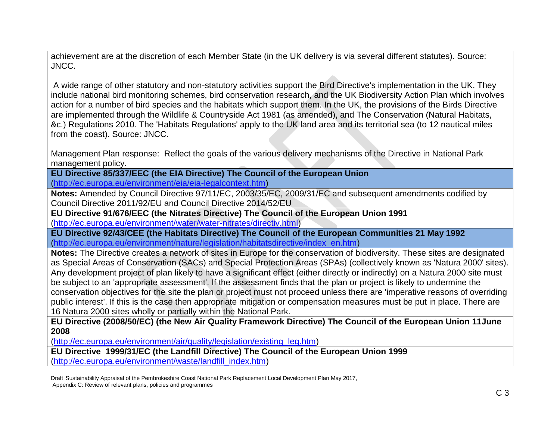achievement are at the discretion of each Member State (in the UK delivery is via several different statutes). Source: JNCC.

A wide range of other statutory and non-statutory activities support the Bird Directive's implementation in the UK. They include national bird monitoring schemes, bird conservation research, and the UK Biodiversity Action Plan which involves action for a number of bird species and the habitats which support them. In the UK, the provisions of the Birds Directive are implemented through the Wildlife & Countryside Act 1981 (as amended), and The Conservation (Natural Habitats, &c.) Regulations 2010. The 'Habitats Regulations' apply to the UK land area and its territorial sea (to 12 nautical miles from the coast). Source: JNCC.

Management Plan response: Reflect the goals of the various delivery mechanisms of the Directive in National Park management policy.

**EU Directive 85/337/EEC (the EIA Directive) The Council of the European Union** [\(http://ec.europa.eu/environment/eia/eia-legalcontext.htm\)](http://ec.europa.eu/environment/eia/eia-legalcontext.htm)

**Notes:** Amended by Council Directive 97/11/EC, 2003/35/EC, 2009/31/EC and subsequent amendments codified by Council Directive 2011/92/EU and Council Directive 2014/52/EU

**EU Directive 91/676/EEC (the Nitrates Directive) The Council of the European Union 1991** [\(http://ec.europa.eu/environment/water/water-nitrates/directiv.html\)](http://ec.europa.eu/environment/water/water-nitrates/directiv.html)

**EU Directive 92/43/CEE (the Habitats Directive) The Council of the European Communities 21 May 1992** [\(http://ec.europa.eu/environment/nature/legislation/habitatsdirective/index\\_en.htm\)](http://ec.europa.eu/environment/nature/legislation/habitatsdirective/index_en.htm)

**Notes:** The Directive creates a network of sites in Europe for the conservation of biodiversity. These sites are designated as Special Areas of Conservation (SACs) and Special Protection Areas (SPAs) (collectively known as 'Natura 2000' sites). Any development project of plan likely to have a significant effect (either directly or indirectly) on a Natura 2000 site must be subject to an 'appropriate assessment'. If the assessment finds that the plan or project is likely to undermine the conservation objectives for the site the plan or project must not proceed unless there are 'imperative reasons of overriding public interest'. If this is the case then appropriate mitigation or compensation measures must be put in place. There are 16 Natura 2000 sites wholly or partially within the National Park.

**EU Directive (2008/50/EC) (the New Air Quality Framework Directive) The Council of the European Union 11June 2008**

[\(http://ec.europa.eu/environment/air/quality/legislation/existing\\_leg.htm\)](http://ec.europa.eu/environment/air/quality/legislation/existing_leg.htm)

**EU Directive 1999/31/EC (the Landfill Directive) The Council of the European Union 1999** [\(http://ec.europa.eu/environment/waste/landfill\\_index.htm\)](http://ec.europa.eu/environment/waste/landfill_index.htm)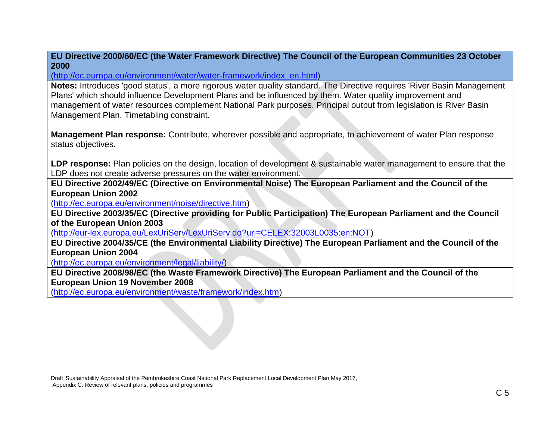**EU Directive 2000/60/EC (the Water Framework Directive) The Council of the European Communities 23 October 2000**

[\(http://ec.europa.eu/environment/water/water-framework/index\\_en.html\)](http://ec.europa.eu/environment/water/water-framework/index_en.html)

**Notes:** Introduces 'good status', a more rigorous water quality standard. The Directive requires 'River Basin Management Plans' which should influence Development Plans and be influenced by them. Water quality improvement and management of water resources complement National Park purposes. Principal output from legislation is River Basin Management Plan. Timetabling constraint.

**Management Plan response:** Contribute, wherever possible and appropriate, to achievement of water Plan response status objectives.

**LDP response:** Plan policies on the design, location of development & sustainable water management to ensure that the LDP does not create adverse pressures on the water environment.

**EU Directive 2002/49/EC (Directive on Environmental Noise) The European Parliament and the Council of the European Union 2002**

[\(http://ec.europa.eu/environment/noise/directive.htm\)](http://ec.europa.eu/environment/noise/directive.htm)

**EU Directive 2003/35/EC (Directive providing for Public Participation) The European Parliament and the Council of the European Union 2003**

[\(http://eur-lex.europa.eu/LexUriServ/LexUriServ.do?uri=CELEX:32003L0035:en:NOT\)](http://eur-lex.europa.eu/LexUriServ/LexUriServ.do?uri=CELEX:32003L0035:en:NOT)

**EU Directive 2004/35/CE (the Environmental Liability Directive) The European Parliament and the Council of the European Union 2004**

[\(http://ec.europa.eu/environment/legal/liability/\)](http://ec.europa.eu/environment/legal/liability/)

**EU Directive 2008/98/EC (the Waste Framework Directive) The European Parliament and the Council of the European Union 19 November 2008**

[\(http://ec.europa.eu/environment/waste/framework/index.htm\)](http://ec.europa.eu/environment/waste/framework/index.htm)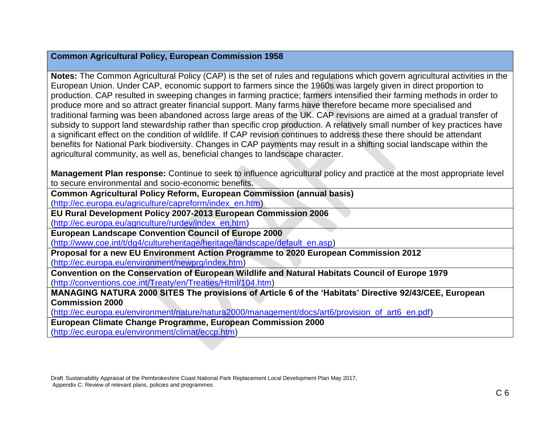### **Common Agricultural Policy, European Commission 1958**

**Notes:** The Common Agricultural Policy (CAP) is the set of rules and regulations which govern agricultural activities in the European Union. Under CAP, economic support to farmers since the 1960s was largely given in direct proportion to production. CAP resulted in sweeping changes in farming practice; farmers intensified their farming methods in order to produce more and so attract greater financial support. Many farms have therefore became more specialised and traditional farming was been abandoned across large areas of the UK. CAP revisions are aimed at a gradual transfer of subsidy to support land stewardship rather than specific crop production. A relatively small number of key practices have a significant effect on the condition of wildlife. If CAP revision continues to address these there should be attendant benefits for National Park biodiversity. Changes in CAP payments may result in a shifting social landscape within the agricultural community, as well as, beneficial changes to landscape character.

**Management Plan response:** Continue to seek to influence agricultural policy and practice at the most appropriate level to secure environmental and socio-economic benefits.

**Common Agricultural Policy Reform, European Commission (annual basis)** 

[\(http://ec.europa.eu/agriculture/capreform/index\\_en.htm\)](http://ec.europa.eu/agriculture/capreform/index_en.htm)

**EU Rural Development Policy 2007-2013 European Commission 2006**

[\(http://ec.europa.eu/agriculture/rurdev/index\\_en.htm\)](http://ec.europa.eu/agriculture/rurdev/index_en.htm)

**European Landscape Convention Council of Europe 2000**

[\(http://www.coe.int/t/dg4/cultureheritage/heritage/landscape/default\\_en.asp\)](http://www.coe.int/t/dg4/cultureheritage/heritage/landscape/default_en.asp)

**Proposal for a new EU Environment Action Programme to 2020 European Commission 2012** [\(http://ec.europa.eu/environment/newprg/index.htm\)](http://ec.europa.eu/environment/newprg/index.htm)

**Convention on the Conservation of European Wildlife and Natural Habitats Council of Europe 1979** [\(http://conventions.coe.int/Treaty/en/Treaties/Html/104.htm\)](http://conventions.coe.int/Treaty/en/Treaties/Html/104.htm)

**MANAGING NATURA 2000 SITES The provisions of Article 6 of the 'Habitats' Directive 92/43/CEE, European Commission 2000**

[\(http://ec.europa.eu/environment/nature/natura2000/management/docs/art6/provision\\_of\\_art6\\_en.pdf\)](http://ec.europa.eu/environment/nature/natura2000/management/docs/art6/provision_of_art6_en.pdf)

**European Climate Change Programme, European Commission 2000**

[\(http://ec.europa.eu/environment/climat/eccp.htm\)](http://ec.europa.eu/environment/climat/eccp.htm)

Draft Sustainability Appraisal of the Pembrokeshire Coast National Park Replacement Local Development Plan May 2017, Appendix C: Review of relevant plans, policies and programmes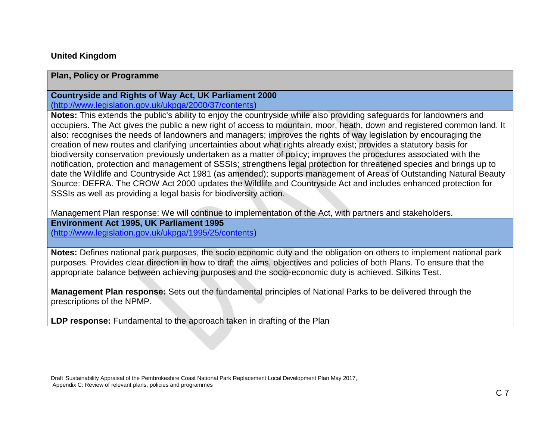### **United Kingdom**

### **Plan, Policy or Programme**

# **Countryside and Rights of Way Act, UK Parliament 2000**

[\(http://www.legislation.gov.uk/ukpga/2000/37/contents\)](http://www.legislation.gov.uk/ukpga/2000/37/contents)

**Notes:** This extends the public's ability to enjoy the countryside while also providing safeguards for landowners and occupiers. The Act gives the public a new right of access to mountain, moor, heath, down and registered common land. It also: recognises the needs of landowners and managers; improves the rights of way legislation by encouraging the creation of new routes and clarifying uncertainties about what rights already exist; provides a statutory basis for biodiversity conservation previously undertaken as a matter of policy; improves the procedures associated with the notification, protection and management of SSSIs; strengthens legal protection for threatened species and brings up to date the Wildlife and Countryside Act 1981 (as amended); supports management of Areas of Outstanding Natural Beauty Source: DEFRA. The CROW Act 2000 updates the Wildlife and Countryside Act and includes enhanced protection for SSSIs as well as providing a legal basis for biodiversity action.

Management Plan response: We will continue to implementation of the Act, with partners and stakeholders.

**Environment Act 1995, UK Parliament 1995** 

[\(http://www.legislation.gov.uk/ukpga/1995/25/contents\)](http://www.legislation.gov.uk/ukpga/1995/25/contents)

**Notes:** Defines national park purposes, the socio economic duty and the obligation on others to implement national park purposes. Provides clear direction in how to draft the aims, objectives and policies of both Plans. To ensure that the appropriate balance between achieving purposes and the socio-economic duty is achieved. Silkins Test.

**Management Plan response:** Sets out the fundamental principles of National Parks to be delivered through the prescriptions of the NPMP.

**LDP response:** Fundamental to the approach taken in drafting of the Plan

Draft Sustainability Appraisal of the Pembrokeshire Coast National Park Replacement Local Development Plan May 2017, Appendix C: Review of relevant plans, policies and programmes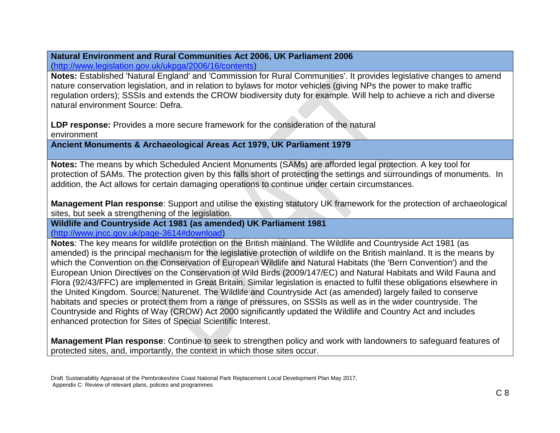#### **Natural Environment and Rural Communities Act 2006, UK Parliament 2006** [\(http://www.legislation.gov.uk/ukpga/2006/16/contents\)](http://www.legislation.gov.uk/ukpga/2006/16/contents)

**Notes:** Established 'Natural England' and 'Commission for Rural Communities'. It provides legislative changes to amend nature conservation legislation, and in relation to bylaws for motor vehicles (giving NPs the power to make traffic regulation orders); SSSIs and extends the CROW biodiversity duty for example. Will help to achieve a rich and diverse natural environment Source: Defra.

**LDP response:** Provides a more secure framework for the consideration of the natural environment

**Ancient Monuments & Archaeological Areas Act 1979, UK Parliament 1979**

**Notes:** The means by which Scheduled Ancient Monuments (SAMs) are afforded legal protection. A key tool for protection of SAMs. The protection given by this falls short of protecting the settings and surroundings of monuments. In addition, the Act allows for certain damaging operations to continue under certain circumstances.

**Management Plan response**: Support and utilise the existing statutory UK framework for the protection of archaeological sites, but seek a strengthening of the legislation.

#### **Wildlife and Countryside Act 1981 (as amended) UK Parliament 1981** [\(http://www.jncc.gov.uk/page-3614#download\)](http://www.jncc.gov.uk/page-3614#download)

**Notes**: The key means for wildlife protection on the British mainland. The Wildlife and Countryside Act 1981 (as amended) is the principal mechanism for the legislative protection of wildlife on the British mainland. It is the means by which the Convention on the Conservation of European Wildlife and Natural Habitats (the 'Bern Convention') and the European Union Directives on the Conservation of Wild Birds (2009/147/EC) and Natural Habitats and Wild Fauna and Flora (92/43/FFC) are implemented in Great Britain. Similar legislation is enacted to fulfil these obligations elsewhere in the United Kingdom. Source: Naturenet. The Wildlife and Countryside Act (as amended) largely failed to conserve habitats and species or protect them from a range of pressures, on SSSIs as well as in the wider countryside. The Countryside and Rights of Way (CROW) Act 2000 significantly updated the Wildlife and Country Act and includes enhanced protection for Sites of Special Scientific Interest.

**Management Plan response**: Continue to seek to strengthen policy and work with landowners to safeguard features of protected sites, and, importantly, the context in which those sites occur.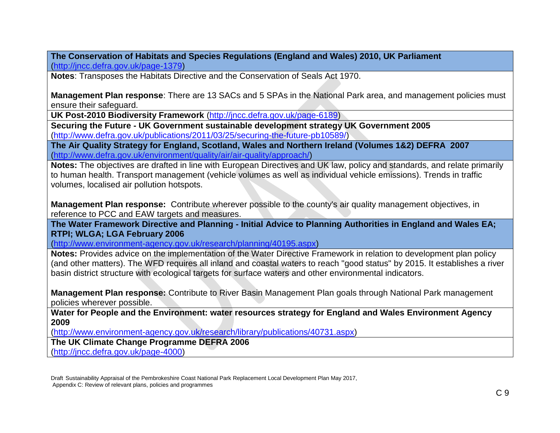**The Conservation of Habitats and Species Regulations (England and Wales) 2010, UK Parliament**  [\(http://jncc.defra.gov.uk/page-1379\)](http://jncc.defra.gov.uk/page-1379)

**Notes**: Transposes the Habitats Directive and the Conservation of Seals Act 1970.

**Management Plan response**: There are 13 SACs and 5 SPAs in the National Park area, and management policies must ensure their safeguard.

**UK Post-2010 Biodiversity Framework** [\(http://jncc.defra.gov.uk/page-6189\)](http://jncc.defra.gov.uk/page-6189)

**Securing the Future - UK Government sustainable development strategy UK Government 2005** [\(http://www.defra.gov.uk/publications/2011/03/25/securing-the-future-pb10589/\)](http://www.defra.gov.uk/publications/2011/03/25/securing-the-future-pb10589/)

**The Air Quality Strategy for England, Scotland, Wales and Northern Ireland (Volumes 1&2) DEFRA 2007** [\(http://www.defra.gov.uk/environment/quality/air/air-quality/approach/\)](http://www.defra.gov.uk/environment/quality/air/air-quality/approach/)

**Notes:** The objectives are drafted in line with European Directives and UK law, policy and standards, and relate primarily to human health. Transport management (vehicle volumes as well as individual vehicle emissions). Trends in traffic volumes, localised air pollution hotspots.

**Management Plan response:** Contribute wherever possible to the county's air quality management objectives, in reference to PCC and EAW targets and measures.

**The Water Framework Directive and Planning - Initial Advice to Planning Authorities in England and Wales EA; RTPI; WLGA; LGA February 2006**

[\(http://www.environment-agency.gov.uk/research/planning/40195.aspx\)](http://www.environment-agency.gov.uk/research/planning/40195.aspx)

**Notes:** Provides advice on the implementation of the Water Directive Framework in relation to development plan policy (and other matters). The WFD requires all inland and coastal waters to reach "good status" by 2015. It establishes a river basin district structure with ecological targets for surface waters and other environmental indicators.

**Management Plan response:** Contribute to River Basin Management Plan goals through National Park management policies wherever possible.

**Water for People and the Environment: water resources strategy for England and Wales Environment Agency 2009**

[\(http://www.environment-agency.gov.uk/research/library/publications/40731.aspx\)](http://www.environment-agency.gov.uk/research/library/publications/40731.aspx)

**The UK Climate Change Programme DEFRA 2006**

[\(http://jncc.defra.gov.uk/page-4000\)](http://jncc.defra.gov.uk/page-4000)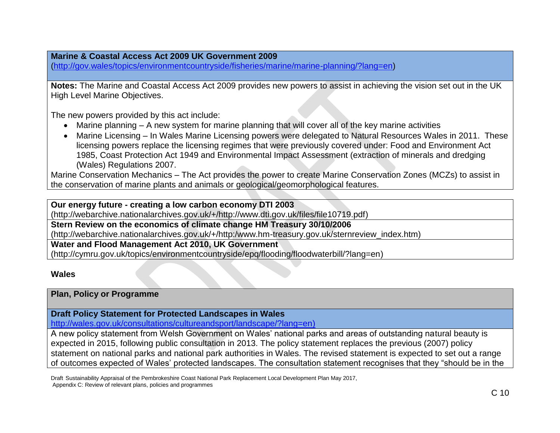**Marine & Coastal Access Act 2009 UK Government 2009**

[\(http://gov.wales/topics/environmentcountryside/fisheries/marine/marine-planning/?lang=en\)](http://gov.wales/topics/environmentcountryside/fisheries/marine/marine-planning/?lang=en)

**Notes:** The Marine and Coastal Access Act 2009 provides new powers to assist in achieving the vision set out in the UK High Level Marine Objectives.

The new powers provided by this act include:

- Marine planning A new system for marine planning that will cover all of the key marine activities
- Marine Licensing In Wales Marine Licensing powers were delegated to Natural Resources Wales in 2011. These licensing powers replace the licensing regimes that were previously covered under: Food and Environment Act 1985, Coast Protection Act 1949 and Environmental Impact Assessment (extraction of minerals and dredging (Wales) Regulations 2007.

Marine Conservation Mechanics – The Act provides the power to create Marine Conservation Zones (MCZs) to assist in the conservation of marine plants and animals or geological/geomorphological features.

**Our energy future - creating a low carbon economy DTI 2003**

(http://webarchive.nationalarchives.gov.uk/+/http://www.dti.gov.uk/files/file10719.pdf)

**Stern Review on the economics of climate change HM Treasury 30/10/2006**

(http://webarchive.nationalarchives.gov.uk/+/http:/www.hm-treasury.gov.uk/sternreview\_index.htm)

**Water and Flood Management Act 2010, UK Government**

(http://cymru.gov.uk/topics/environmentcountryside/epq/flooding/floodwaterbill/?lang=en)

### **Wales**

### **Plan, Policy or Programme**

**Draft Policy Statement for Protected Landscapes in Wales**

[http://wales.gov.uk/consultations/cultureandsport/landscape/?lang=en\)](http://wales.gov.uk/consultations/cultureandsport/landscape/?lang=en)

A new policy statement from Welsh Government on Wales' national parks and areas of outstanding natural beauty is expected in 2015, following public consultation in 2013. The policy statement replaces the previous (2007) policy statement on national parks and national park authorities in Wales. The revised statement is expected to set out a range of outcomes expected of Wales' protected landscapes. The consultation statement recognises that they "should be in the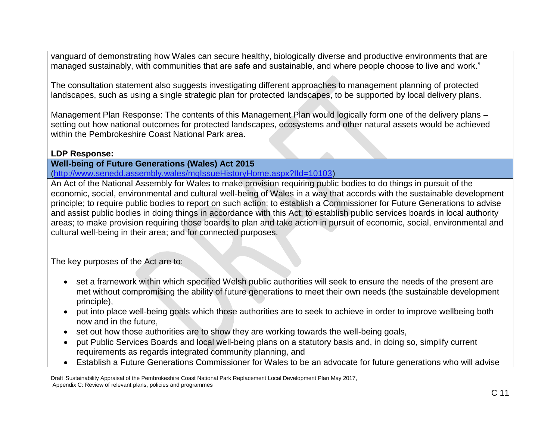vanguard of demonstrating how Wales can secure healthy, biologically diverse and productive environments that are managed sustainably, with communities that are safe and sustainable, and where people choose to live and work."

The consultation statement also suggests investigating different approaches to management planning of protected landscapes, such as using a single strategic plan for protected landscapes, to be supported by local delivery plans.

Management Plan Response: The contents of this Management Plan would logically form one of the delivery plans – setting out how national outcomes for protected landscapes, ecosystems and other natural assets would be achieved within the Pembrokeshire Coast National Park area.

### **LDP Response:**

**Well-being of Future Generations (Wales) Act 2015**

[\(http://www.senedd.assembly.wales/mgIssueHistoryHome.aspx?IId=10103\)](http://www.senedd.assembly.wales/mgIssueHistoryHome.aspx?IId=10103)

An Act of the National Assembly for Wales to make provision requiring public bodies to do things in pursuit of the economic, social, environmental and cultural well-being of Wales in a way that accords with the sustainable development principle; to require public bodies to report on such action; to establish a Commissioner for Future Generations to advise and assist public bodies in doing things in accordance with this Act; to establish public services boards in local authority areas; to make provision requiring those boards to plan and take action in pursuit of economic, social, environmental and cultural well-being in their area; and for connected purposes.

The key purposes of the Act are to:

- set a framework within which specified Welsh public authorities will seek to ensure the needs of the present are met without compromising the ability of future generations to meet their own needs (the sustainable development principle),
- put into place well-being goals which those authorities are to seek to achieve in order to improve wellbeing both now and in the future,
- set out how those authorities are to show they are working towards the well-being goals,
- put Public Services Boards and local well-being plans on a statutory basis and, in doing so, simplify current requirements as regards integrated community planning, and
- Establish a Future Generations Commissioner for Wales to be an advocate for future generations who will advise

Draft Sustainability Appraisal of the Pembrokeshire Coast National Park Replacement Local Development Plan May 2017, Appendix C: Review of relevant plans, policies and programmes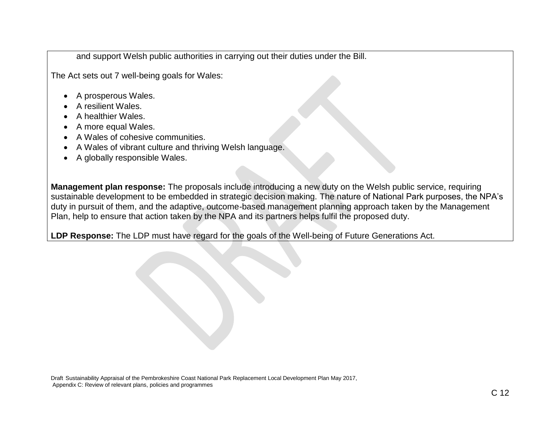and support Welsh public authorities in carrying out their duties under the Bill.

The Act sets out 7 well-being goals for Wales:

- A prosperous Wales.
- A resilient Wales.
- A healthier Wales.
- A more equal Wales.
- A Wales of cohesive communities.
- A Wales of vibrant culture and thriving Welsh language.
- A globally responsible Wales.

**Management plan response:** The proposals include introducing a new duty on the Welsh public service, requiring sustainable development to be embedded in strategic decision making. The nature of National Park purposes, the NPA's duty in pursuit of them, and the adaptive, outcome-based management planning approach taken by the Management Plan, help to ensure that action taken by the NPA and its partners helps fulfil the proposed duty.

**LDP Response:** The LDP must have regard for the goals of the Well-being of Future Generations Act.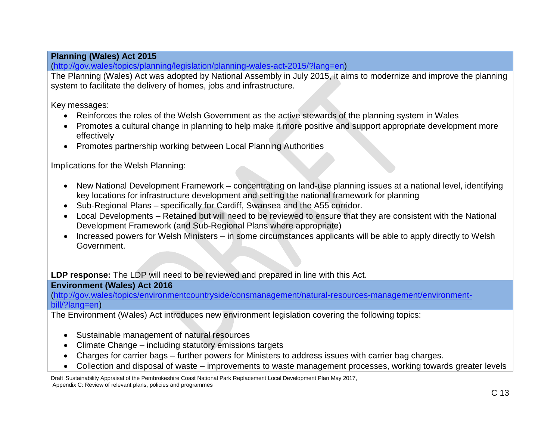# **Planning (Wales) Act 2015**

[\(http://gov.wales/topics/planning/legislation/planning-wales-act-2015/?lang=en\)](http://gov.wales/topics/planning/legislation/planning-wales-act-2015/?lang=en)

The Planning (Wales) Act was adopted by National Assembly in July 2015, it aims to modernize and improve the planning system to facilitate the delivery of homes, jobs and infrastructure.

Key messages:

- Reinforces the roles of the Welsh Government as the active stewards of the planning system in Wales
- Promotes a cultural change in planning to help make it more positive and support appropriate development more effectively
- Promotes partnership working between Local Planning Authorities

Implications for the Welsh Planning:

- New National Development Framework concentrating on land-use planning issues at a national level, identifying key locations for infrastructure development and setting the national framework for planning
- Sub-Regional Plans specifically for Cardiff, Swansea and the A55 corridor.
- Local Developments Retained but will need to be reviewed to ensure that they are consistent with the National Development Framework (and Sub-Regional Plans where appropriate)
- Increased powers for Welsh Ministers in some circumstances applicants will be able to apply directly to Welsh Government.

**LDP response:** The LDP will need to be reviewed and prepared in line with this Act.

# **Environment (Wales) Act 2016**

[\(http://gov.wales/topics/environmentcountryside/consmanagement/natural-resources-management/environment](http://gov.wales/topics/environmentcountryside/consmanagement/natural-resources-management/environment-bill/?lang=en)[bill/?lang=en\)](http://gov.wales/topics/environmentcountryside/consmanagement/natural-resources-management/environment-bill/?lang=en)

The Environment (Wales) Act introduces new environment legislation covering the following topics:

- Sustainable management of natural resources
- Climate Change including statutory emissions targets
- Charges for carrier bags further powers for Ministers to address issues with carrier bag charges.
- Collection and disposal of waste improvements to waste management processes, working towards greater levels

Draft Sustainability Appraisal of the Pembrokeshire Coast National Park Replacement Local Development Plan May 2017, Appendix C: Review of relevant plans, policies and programmes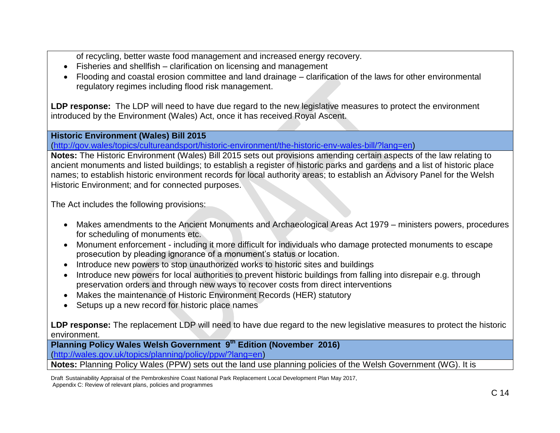of recycling, better waste food management and increased energy recovery.

- Fisheries and shellfish clarification on licensing and management
- Flooding and coastal erosion committee and land drainage clarification of the laws for other environmental regulatory regimes including flood risk management.

**LDP response:** The LDP will need to have due regard to the new legislative measures to protect the environment introduced by the Environment (Wales) Act, once it has received Royal Ascent.

#### **Historic Environment (Wales) Bill 2015**

[\(http://gov.wales/topics/cultureandsport/historic-environment/the-historic-env-wales-bill/?lang=en\)](http://gov.wales/topics/cultureandsport/historic-environment/the-historic-env-wales-bill/?lang=en)

**Notes:** The Historic Environment (Wales) Bill 2015 sets out provisions amending certain aspects of the law relating to ancient monuments and listed buildings; to establish a register of historic parks and gardens and a list of historic place names; to establish historic environment records for local authority areas; to establish an Advisory Panel for the Welsh Historic Environment; and for connected purposes.

The Act includes the following provisions:

- Makes amendments to the Ancient Monuments and Archaeological Areas Act 1979 ministers powers, procedures for scheduling of monuments etc.
- Monument enforcement including it more difficult for individuals who damage protected monuments to escape prosecution by pleading ignorance of a monument's status or location.
- Introduce new powers to stop unauthorized works to historic sites and buildings
- Introduce new powers for local authorities to prevent historic buildings from falling into disrepair e.g. through preservation orders and through new ways to recover costs from direct interventions
- Makes the maintenance of Historic Environment Records (HER) statutory
- Setups up a new record for historic place names

LDP response: The replacement LDP will need to have due regard to the new legislative measures to protect the historic environment.

**Planning Policy Wales Welsh Government 9 th Edition (November 2016)**

[\(http://wales.gov.uk/topics/planning/policy/ppw/?lang=en\)](http://wales.gov.uk/topics/planning/policy/ppw/?lang=en)

**Notes:** Planning Policy Wales (PPW) sets out the land use planning policies of the Welsh Government (WG). It is

Draft Sustainability Appraisal of the Pembrokeshire Coast National Park Replacement Local Development Plan May 2017, Appendix C: Review of relevant plans, policies and programmes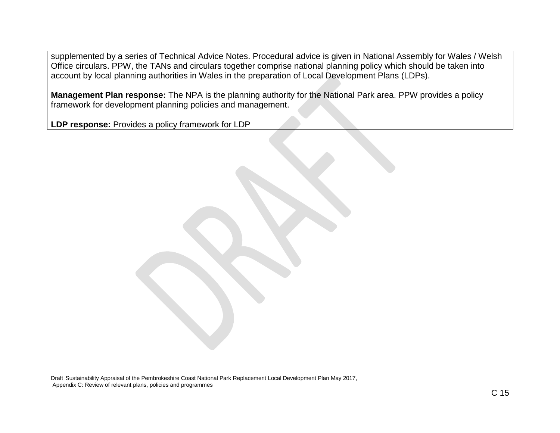supplemented by a series of Technical Advice Notes. Procedural advice is given in National Assembly for Wales / Welsh Office circulars. PPW, the TANs and circulars together comprise national planning policy which should be taken into account by local planning authorities in Wales in the preparation of Local Development Plans (LDPs).

**Management Plan response:** The NPA is the planning authority for the National Park area. PPW provides a policy framework for development planning policies and management.

**LDP response:** Provides a policy framework for LDP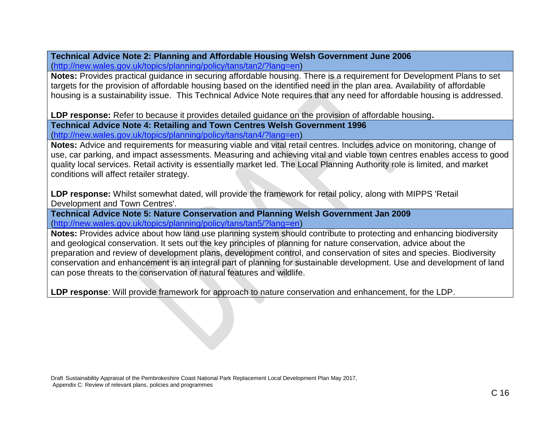**Technical Advice Note 2: Planning and Affordable Housing Welsh Government June 2006** [\(http://new.wales.gov.uk/topics/planning/policy/tans/tan2/?lang=en\)](http://new.wales.gov.uk/topics/planning/policy/tans/tan2/?lang=en)

**Notes:** Provides practical guidance in securing affordable housing. There is a requirement for Development Plans to set targets for the provision of affordable housing based on the identified need in the plan area. Availability of affordable housing is a sustainability issue. This Technical Advice Note requires that any need for affordable housing is addressed.

**LDP response:** Refer to because it provides detailed guidance on the provision of affordable housing**.**

**Technical Advice Note 4: Retailing and Town Centres Welsh Government 1996** [\(http://new.wales.gov.uk/topics/planning/policy/tans/tan4/?lang=en\)](http://new.wales.gov.uk/topics/planning/policy/tans/tan4/?lang=en)

**Notes:** Advice and requirements for measuring viable and vital retail centres. Includes advice on monitoring, change of use, car parking, and impact assessments. Measuring and achieving vital and viable town centres enables access to good quality local services. Retail activity is essentially market led. The Local Planning Authority role is limited, and market conditions will affect retailer strategy.

**LDP response:** Whilst somewhat dated, will provide the framework for retail policy, along with MIPPS 'Retail Development and Town Centres'.

**Technical Advice Note 5: Nature Conservation and Planning Welsh Government Jan 2009** [\(http://new.wales.gov.uk/topics/planning/policy/tans/tan5/?lang=en\)](http://new.wales.gov.uk/topics/planning/policy/tans/tan5/?lang=en)

**Notes:** Provides advice about how land use planning system should contribute to protecting and enhancing biodiversity and geological conservation. It sets out the key principles of planning for nature conservation, advice about the preparation and review of development plans, development control, and conservation of sites and species. Biodiversity conservation and enhancement is an integral part of planning for sustainable development. Use and development of land can pose threats to the conservation of natural features and wildlife.

**LDP response**: Will provide framework for approach to nature conservation and enhancement, for the LDP.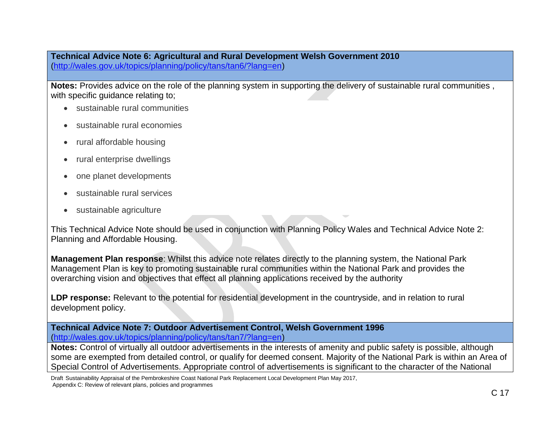**Technical Advice Note 6: Agricultural and Rural Development Welsh Government 2010** [\(http://wales.gov.uk/topics/planning/policy/tans/tan6/?lang=en\)](http://wales.gov.uk/topics/planning/policy/tans/tan6/?lang=en)

**Notes:** Provides advice on the role of the planning system in supporting the delivery of sustainable rural communities , with specific guidance relating to;

- sustainable rural communities
- sustainable rural economies
- rural affordable housing
- rural enterprise dwellings
- one planet developments
- sustainable rural services
- sustainable agriculture

This Technical Advice Note should be used in conjunction with Planning Policy Wales and Technical Advice Note 2: Planning and Affordable Housing.

**Management Plan response**: Whilst this advice note relates directly to the planning system, the National Park Management Plan is key to promoting sustainable rural communities within the National Park and provides the overarching vision and objectives that effect all planning applications received by the authority

LDP response: Relevant to the potential for residential development in the countryside, and in relation to rural development policy.

**Technical Advice Note 7: Outdoor Advertisement Control, Welsh Government 1996** [\(http://wales.gov.uk/topics/planning/policy/tans/tan7/?lang=en\)](http://wales.gov.uk/topics/planning/policy/tans/tan7/?lang=en)

**Notes:** Control of virtually all outdoor advertisements in the interests of amenity and public safety is possible, although some are exempted from detailed control, or qualify for deemed consent. Majority of the National Park is within an Area of Special Control of Advertisements. Appropriate control of advertisements is significant to the character of the National

Draft Sustainability Appraisal of the Pembrokeshire Coast National Park Replacement Local Development Plan May 2017, Appendix C: Review of relevant plans, policies and programmes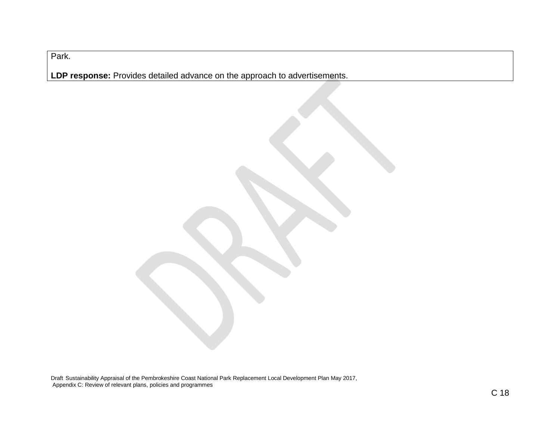Park.

**LDP response:** Provides detailed advance on the approach to advertisements.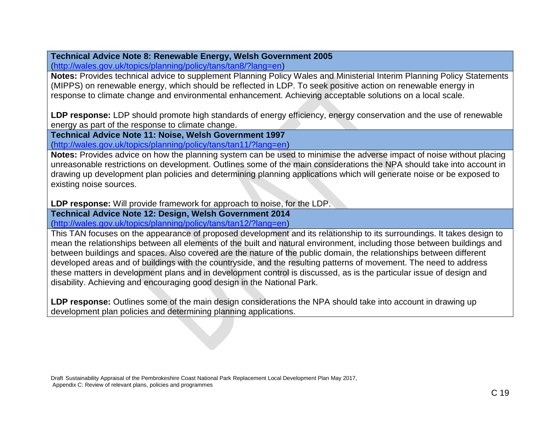# **Technical Advice Note 8: Renewable Energy, Welsh Government 2005**

[\(http://wales.gov.uk/topics/planning/policy/tans/tan8/?lang=en\)](http://wales.gov.uk/topics/planning/policy/tans/tan8/?lang=en)

**Notes:** Provides technical advice to supplement Planning Policy Wales and Ministerial Interim Planning Policy Statements (MIPPS) on renewable energy, which should be reflected in LDP. To seek positive action on renewable energy in response to climate change and environmental enhancement. Achieving acceptable solutions on a local scale.

**LDP response:** LDP should promote high standards of energy efficiency, energy conservation and the use of renewable energy as part of the response to climate change.

**Technical Advice Note 11: Noise, Welsh Government 1997** [\(http://wales.gov.uk/topics/planning/policy/tans/tan11/?lang=en\)](http://wales.gov.uk/topics/planning/policy/tans/tan11/?lang=en)

**Notes:** Provides advice on how the planning system can be used to minimise the adverse impact of noise without placing unreasonable restrictions on development. Outlines some of the main considerations the NPA should take into account in drawing up development plan policies and determining planning applications which will generate noise or be exposed to existing noise sources.

**LDP response:** Will provide framework for approach to noise, for the LDP.

**Technical Advice Note 12: Design, Welsh Government 2014**

[\(http://wales.gov.uk/topics/planning/policy/tans/tan12/?lang=en\)](http://wales.gov.uk/topics/planning/policy/tans/tan12/?lang=en)

This TAN focuses on the appearance of proposed development and its relationship to its surroundings. It takes design to mean the relationships between all elements of the built and natural environment, including those between buildings and between buildings and spaces. Also covered are the nature of the public domain, the relationships between different developed areas and of buildings with the countryside, and the resulting patterns of movement. The need to address these matters in development plans and in development control is discussed, as is the particular issue of design and disability. Achieving and encouraging good design in the National Park.

**LDP response:** Outlines some of the main design considerations the NPA should take into account in drawing up development plan policies and determining planning applications.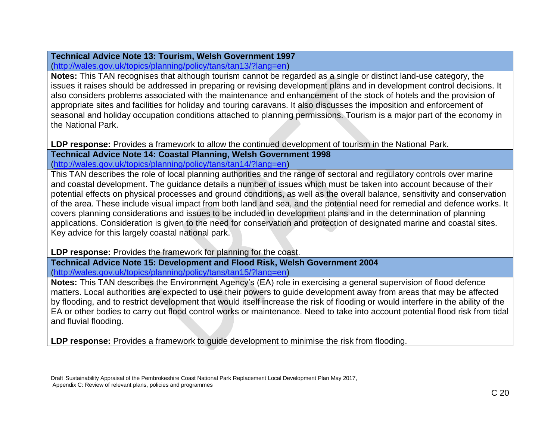# **Technical Advice Note 13: Tourism, Welsh Government 1997**

[\(http://wales.gov.uk/topics/planning/policy/tans/tan13/?lang=en\)](http://wales.gov.uk/topics/planning/policy/tans/tan13/?lang=en)

**Notes:** This TAN recognises that although tourism cannot be regarded as a single or distinct land-use category, the issues it raises should be addressed in preparing or revising development plans and in development control decisions. It also considers problems associated with the maintenance and enhancement of the stock of hotels and the provision of appropriate sites and facilities for holiday and touring caravans. It also discusses the imposition and enforcement of seasonal and holiday occupation conditions attached to planning permissions. Tourism is a major part of the economy in the National Park.

**LDP response:** Provides a framework to allow the continued development of tourism in the National Park. **Technical Advice Note 14: Coastal Planning, Welsh Government 1998** [\(http://wales.gov.uk/topics/planning/policy/tans/tan14/?lang=en\)](http://wales.gov.uk/topics/planning/policy/tans/tan14/?lang=en)

This TAN describes the role of local planning authorities and the range of sectoral and regulatory controls over marine and coastal development. The guidance details a number of issues which must be taken into account because of their potential effects on physical processes and ground conditions, as well as the overall balance, sensitivity and conservation of the area. These include visual impact from both land and sea, and the potential need for remedial and defence works. It covers planning considerations and issues to be included in development plans and in the determination of planning applications. Consideration is given to the need for conservation and protection of designated marine and coastal sites. Key advice for this largely coastal national park.

**LDP response:** Provides the framework for planning for the coast.

**Technical Advice Note 15: Development and Flood Risk, Welsh Government 2004** [\(http://wales.gov.uk/topics/planning/policy/tans/tan15/?lang=en\)](http://wales.gov.uk/topics/planning/policy/tans/tan15/?lang=en)

**Notes:** This TAN describes the Environment Agency's (EA) role in exercising a general supervision of flood defence matters. Local authorities are expected to use their powers to guide development away from areas that may be affected by flooding, and to restrict development that would itself increase the risk of flooding or would interfere in the ability of the EA or other bodies to carry out flood control works or maintenance. Need to take into account potential flood risk from tidal and fluvial flooding.

**LDP response:** Provides a framework to guide development to minimise the risk from flooding.

Draft Sustainability Appraisal of the Pembrokeshire Coast National Park Replacement Local Development Plan May 2017, Appendix C: Review of relevant plans, policies and programmes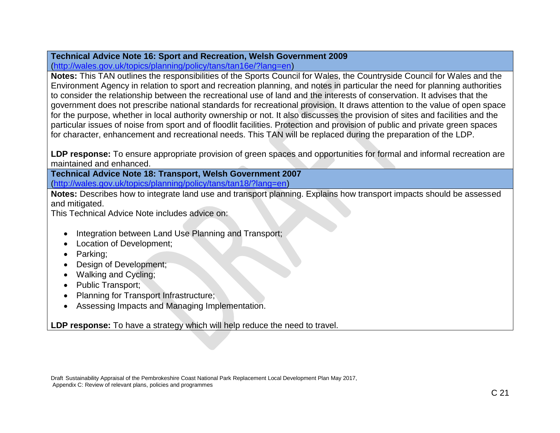# **Technical Advice Note 16: Sport and Recreation, Welsh Government 2009**

[\(http://wales.gov.uk/topics/planning/policy/tans/tan16e/?lang=en\)](http://wales.gov.uk/topics/planning/policy/tans/tan16e/?lang=en)

**Notes:** This TAN outlines the responsibilities of the Sports Council for Wales, the Countryside Council for Wales and the Environment Agency in relation to sport and recreation planning, and notes in particular the need for planning authorities to consider the relationship between the recreational use of land and the interests of conservation. It advises that the government does not prescribe national standards for recreational provision. It draws attention to the value of open space for the purpose, whether in local authority ownership or not. It also discusses the provision of sites and facilities and the particular issues of noise from sport and of floodlit facilities. Protection and provision of public and private green spaces for character, enhancement and recreational needs. This TAN will be replaced during the preparation of the LDP.

**LDP response:** To ensure appropriate provision of green spaces and opportunities for formal and informal recreation are maintained and enhanced.

**Technical Advice Note 18: Transport, Welsh Government 2007** [\(http://wales.gov.uk/topics/planning/policy/tans/tan18/?lang=en\)](http://wales.gov.uk/topics/planning/policy/tans/tan18/?lang=en)

**Notes:** Describes how to integrate land use and transport planning. Explains how transport impacts should be assessed and mitigated.

This Technical Advice Note includes advice on:

- Integration between Land Use Planning and Transport;
- Location of Development;
- Parking;
- Design of Development;
- Walking and Cycling;
- Public Transport;
- Planning for Transport Infrastructure;
- Assessing Impacts and Managing Implementation.

**LDP response:** To have a strategy which will help reduce the need to travel.

Draft Sustainability Appraisal of the Pembrokeshire Coast National Park Replacement Local Development Plan May 2017, Appendix C: Review of relevant plans, policies and programmes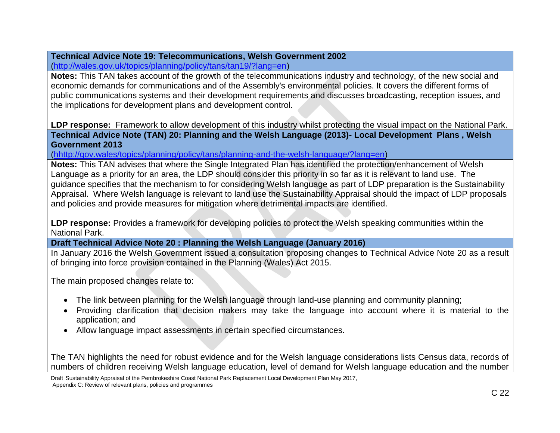### **Technical Advice Note 19: Telecommunications, Welsh Government 2002** [\(http://wales.gov.uk/topics/planning/policy/tans/tan19/?lang=en\)](http://wales.gov.uk/topics/planning/policy/tans/tan19/?lang=en)

**Notes:** This TAN takes account of the growth of the telecommunications industry and technology, of the new social and economic demands for communications and of the Assembly's environmental policies. It covers the different forms of public communications systems and their development requirements and discusses broadcasting, reception issues, and the implications for development plans and development control.

**LDP response:** Framework to allow development of this industry whilst protecting the visual impact on the National Park. **Technical Advice Note (TAN) 20: Planning and the Welsh Language (2013)- Local Development Plans , Welsh Government 2013**

[\(hhttp://gov.wales/topics/planning/policy/tans/planning-and-the-welsh-language/?lang=en\)](http://wales.gov.uk/topics/planning/policy/tans/tan20/?lang=en)

**Notes:** This TAN advises that where the Single Integrated Plan has identified the protection/enhancement of Welsh Language as a priority for an area, the LDP should consider this priority in so far as it is relevant to land use. The guidance specifies that the mechanism to for considering Welsh language as part of LDP preparation is the Sustainability Appraisal. Where Welsh language is relevant to land use the Sustainability Appraisal should the impact of LDP proposals and policies and provide measures for mitigation where detrimental impacts are identified.

**LDP response:** Provides a framework for developing policies to protect the Welsh speaking communities within the National Park.

**Draft Technical Advice Note 20 : Planning the Welsh Language (January 2016)**

In January 2016 the Welsh Government issued a consultation proposing changes to Technical Advice Note 20 as a result of bringing into force provision contained in the Planning (Wales) Act 2015.

The main proposed changes relate to:

- The link between planning for the Welsh language through land-use planning and community planning;
- Providing clarification that decision makers may take the language into account where it is material to the application; and
- Allow language impact assessments in certain specified circumstances.

The TAN highlights the need for robust evidence and for the Welsh language considerations lists Census data, records of numbers of children receiving Welsh language education, level of demand for Welsh language education and the number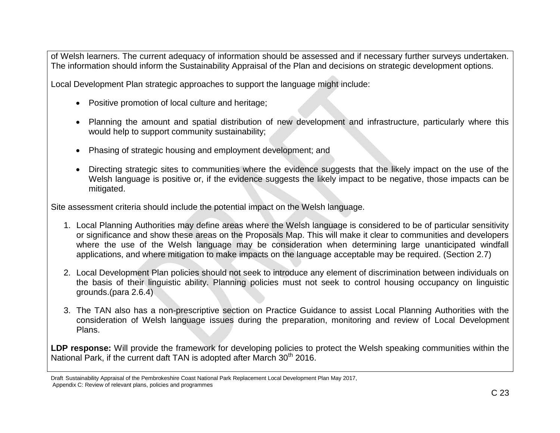of Welsh learners. The current adequacy of information should be assessed and if necessary further surveys undertaken. The information should inform the Sustainability Appraisal of the Plan and decisions on strategic development options.

Local Development Plan strategic approaches to support the language might include:

- Positive promotion of local culture and heritage;
- Planning the amount and spatial distribution of new development and infrastructure, particularly where this would help to support community sustainability;
- Phasing of strategic housing and employment development; and
- Directing strategic sites to communities where the evidence suggests that the likely impact on the use of the Welsh language is positive or, if the evidence suggests the likely impact to be negative, those impacts can be mitigated.

Site assessment criteria should include the potential impact on the Welsh language.

- 1. Local Planning Authorities may define areas where the Welsh language is considered to be of particular sensitivity or significance and show these areas on the Proposals Map. This will make it clear to communities and developers where the use of the Welsh language may be consideration when determining large unanticipated windfall applications, and where mitigation to make impacts on the language acceptable may be required. (Section 2.7)
- 2. Local Development Plan policies should not seek to introduce any element of discrimination between individuals on the basis of their linguistic ability. Planning policies must not seek to control housing occupancy on linguistic grounds.(para 2.6.4)
- 3. The TAN also has a non-prescriptive section on Practice Guidance to assist Local Planning Authorities with the consideration of Welsh language issues during the preparation, monitoring and review of Local Development Plans.

**LDP response:** Will provide the framework for developing policies to protect the Welsh speaking communities within the National Park, if the current daft TAN is adopted after March  $30<sup>th</sup>$  2016.

Draft Sustainability Appraisal of the Pembrokeshire Coast National Park Replacement Local Development Plan May 2017, Appendix C: Review of relevant plans, policies and programmes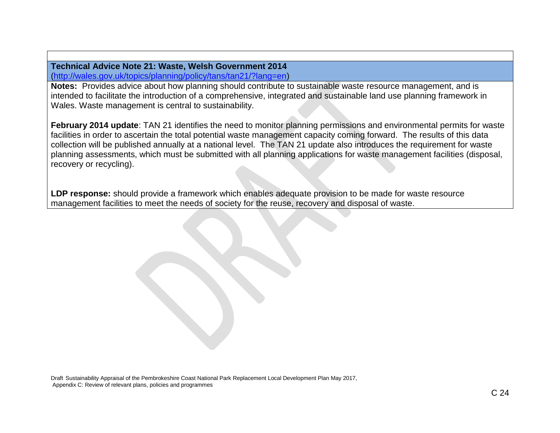**Technical Advice Note 21: Waste, Welsh Government 2014** [\(http://wales.gov.uk/topics/planning/policy/tans/tan21/?lang=en\)](http://wales.gov.uk/topics/planning/policy/tans/tan21/?lang=en)

**Notes:** Provides advice about how planning should contribute to sustainable waste resource management, and is intended to facilitate the introduction of a comprehensive, integrated and sustainable land use planning framework in Wales. Waste management is central to sustainability.

**February 2014 update**: TAN 21 identifies the need to monitor planning permissions and environmental permits for waste facilities in order to ascertain the total potential waste management capacity coming forward. The results of this data collection will be published annually at a national level. The TAN 21 update also introduces the requirement for waste planning assessments, which must be submitted with all planning applications for waste management facilities (disposal, recovery or recycling).

**LDP response:** should provide a framework which enables adequate provision to be made for waste resource management facilities to meet the needs of society for the reuse, recovery and disposal of waste.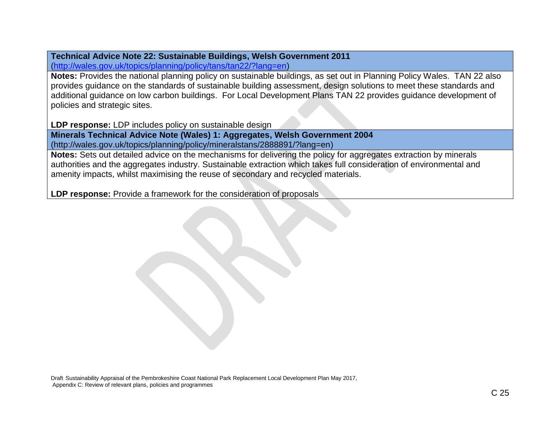### **Technical Advice Note 22: Sustainable Buildings, Welsh Government 2011** [\(http://wales.gov.uk/topics/planning/policy/tans/tan22/?lang=en\)](http://wales.gov.uk/topics/planning/policy/tans/tan22/?lang=en)

**Notes:** Provides the national planning policy on sustainable buildings, as set out in Planning Policy Wales. TAN 22 also provides guidance on the standards of sustainable building assessment, design solutions to meet these standards and additional guidance on low carbon buildings. For Local Development Plans TAN 22 provides guidance development of policies and strategic sites.

**LDP response:** LDP includes policy on sustainable design

**Minerals Technical Advice Note (Wales) 1: Aggregates, Welsh Government 2004** (http://wales.gov.uk/topics/planning/policy/mineralstans/2888891/?lang=en)

**Notes:** Sets out detailed advice on the mechanisms for delivering the policy for aggregates extraction by minerals authorities and the aggregates industry. Sustainable extraction which takes full consideration of environmental and amenity impacts, whilst maximising the reuse of secondary and recycled materials.

**LDP response:** Provide a framework for the consideration of proposals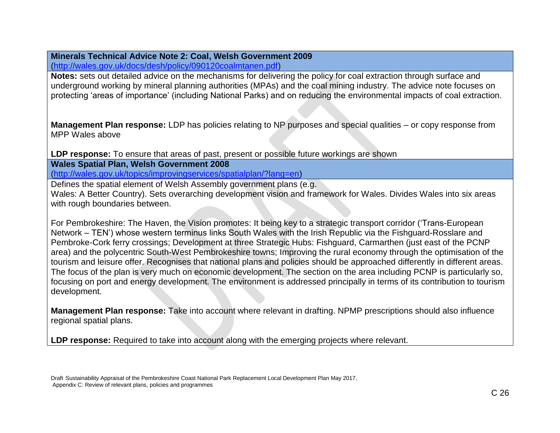# **Minerals Technical Advice Note 2: Coal, Welsh Government 2009**

[\(http://wales.gov.uk/docs/desh/policy/090120coalmtanen.pdf\)](http://wales.gov.uk/docs/desh/policy/090120coalmtanen.pdf)

**Notes:** sets out detailed advice on the mechanisms for delivering the policy for coal extraction through surface and underground working by mineral planning authorities (MPAs) and the coal mining industry. The advice note focuses on protecting 'areas of importance' (including National Parks) and on reducing the environmental impacts of coal extraction.

**Management Plan response:** LDP has policies relating to NP purposes and special qualities – or copy response from MPP Wales above

**LDP response:** To ensure that areas of past, present or possible future workings are shown

**Wales Spatial Plan, Welsh Government 2008**

[\(http://wales.gov.uk/topics/improvingservices/spatialplan/?lang=en\)](http://wales.gov.uk/topics/improvingservices/spatialplan/?lang=en)

Defines the spatial element of Welsh Assembly government plans (e.g. Wales: A Better Country). Sets overarching development vision and framework for Wales. Divides Wales into six areas with rough boundaries between.

For Pembrokeshire: The Haven, the Vision promotes: It being key to a strategic transport corridor ('Trans-European Network – TEN') whose western terminus links South Wales with the Irish Republic via the Fishguard-Rosslare and Pembroke-Cork ferry crossings; Development at three Strategic Hubs: Fishguard, Carmarthen (just east of the PCNP area) and the polycentric South-West Pembrokeshire towns; Improving the rural economy through the optimisation of the tourism and leisure offer. Recognises that national plans and policies should be approached differently in different areas. The focus of the plan is very much on economic development. The section on the area including PCNP is particularly so, focusing on port and energy development. The environment is addressed principally in terms of its contribution to tourism development.

**Management Plan response:** Take into account where relevant in drafting. NPMP prescriptions should also influence regional spatial plans.

LDP response: Required to take into account along with the emerging projects where relevant.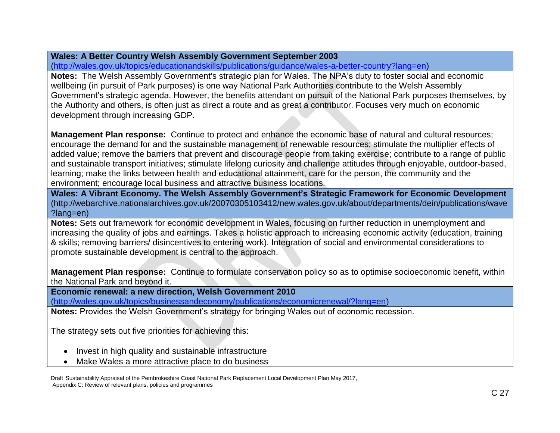# **Wales: A Better Country Welsh Assembly Government September 2003**

[\(http://wales.gov.uk/topics/educationandskills/publications/guidance/wales-a-better-country?lang=en\)](http://wales.gov.uk/topics/educationandskills/publications/guidance/wales-a-better-country?lang=en)

**Notes:** The Welsh Assembly Government's strategic plan for Wales. The NPA's duty to foster social and economic wellbeing (in pursuit of Park purposes) is one way National Park Authorities contribute to the Welsh Assembly Government's strategic agenda. However, the benefits attendant on pursuit of the National Park purposes themselves, by the Authority and others, is often just as direct a route and as great a contributor. Focuses very much on economic development through increasing GDP.

**Management Plan response:** Continue to protect and enhance the economic base of natural and cultural resources; encourage the demand for and the sustainable management of renewable resources; stimulate the multiplier effects of added value; remove the barriers that prevent and discourage people from taking exercise; contribute to a range of public and sustainable transport initiatives; stimulate lifelong curiosity and challenge attitudes through enjoyable, outdoor-based, learning; make the links between health and educational attainment, care for the person, the community and the environment; encourage local business and attractive business locations.

**Wales: A Vibrant Economy. The Welsh Assembly Government's Strategic Framework for Economic Development** (http://webarchive.nationalarchives.gov.uk/20070305103412/new.wales.gov.uk/about/departments/dein/publications/wave ?lang=en)

**Notes:** Sets out framework for economic development in Wales, focusing on further reduction in unemployment and increasing the quality of jobs and earnings. Takes a holistic approach to increasing economic activity (education, training & skills; removing barriers/ disincentives to entering work). Integration of social and environmental considerations to promote sustainable development is central to the approach.

**Management Plan response:** Continue to formulate conservation policy so as to optimise socioeconomic benefit, within the National Park and beyond it.

**Economic renewal: a new direction, Welsh Government 2010** 

[\(http://wales.gov.uk/topics/businessandeconomy/publications/economicrenewal/?lang=en\)](http://wales.gov.uk/topics/businessandeconomy/publications/economicrenewal/?lang=en)

**Notes:** Provides the Welsh Government's strategy for bringing Wales out of economic recession.

The strategy sets out five priorities for achieving this:

- Invest in high quality and sustainable infrastructure
- Make Wales a more attractive place to do business

Draft Sustainability Appraisal of the Pembrokeshire Coast National Park Replacement Local Development Plan May 2017, Appendix C: Review of relevant plans, policies and programmes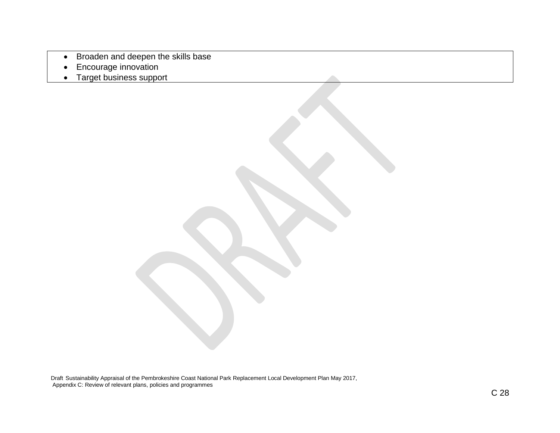- Broaden and deepen the skills base
- Encourage innovation
- Target business support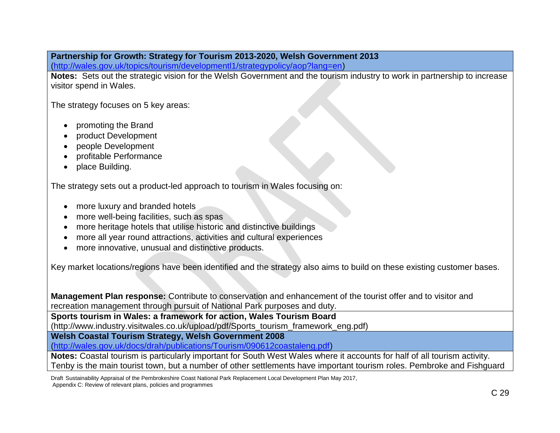# **Partnership for Growth: Strategy for Tourism 2013-2020, Welsh Government 2013**

[\(http://wales.gov.uk/topics/tourism/developmentl1/strategypolicy/aop?lang=en\)](http://wales.gov.uk/topics/tourism/developmentl1/strategypolicy/aop?lang=en)

**Notes:** Sets out the strategic vision for the Welsh Government and the tourism industry to work in partnership to increase visitor spend in Wales.

The strategy focuses on 5 key areas:

- promoting the Brand
- product Development
- people Development
- profitable Performance
- place Building.

The strategy sets out a product-led approach to tourism in Wales focusing on:

- more luxury and branded hotels
- more well-being facilities, such as spas
- more heritage hotels that utilise historic and distinctive buildings
- more all year round attractions, activities and cultural experiences
- more innovative, unusual and distinctive products.

Key market locations/regions have been identified and the strategy also aims to build on these existing customer bases.

**Management Plan response:** Contribute to conservation and enhancement of the tourist offer and to visitor and recreation management through pursuit of National Park purposes and duty.

**Sports tourism in Wales: a framework for action, Wales Tourism Board** 

(http://www.industry.visitwales.co.uk/upload/pdf/Sports\_tourism\_framework\_eng.pdf)

**Welsh Coastal Tourism Strategy, Welsh Government 2008**

[\(http://wales.gov.uk/docs/drah/publications/Tourism/090612coastaleng.pdf\)](http://wales.gov.uk/docs/drah/publications/Tourism/090612coastaleng.pdf)

**Notes:** Coastal tourism is particularly important for South West Wales where it accounts for half of all tourism activity. Tenby is the main tourist town, but a number of other settlements have important tourism roles. Pembroke and Fishguard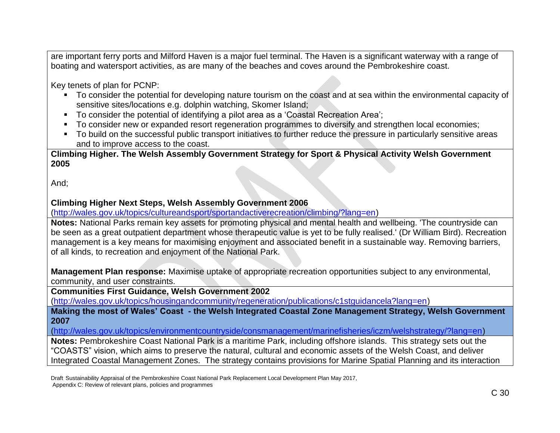are important ferry ports and Milford Haven is a major fuel terminal. The Haven is a significant waterway with a range of boating and watersport activities, as are many of the beaches and coves around the Pembrokeshire coast.

Key tenets of plan for PCNP:

- To consider the potential for developing nature tourism on the coast and at sea within the environmental capacity of sensitive sites/locations e.g. dolphin watching, Skomer Island;
- To consider the potential of identifying a pilot area as a 'Coastal Recreation Area';
- To consider new or expanded resort regeneration programmes to diversify and strengthen local economies;
- To build on the successful public transport initiatives to further reduce the pressure in particularly sensitive areas and to improve access to the coast.

**Climbing Higher. The Welsh Assembly Government Strategy for Sport & Physical Activity Welsh Government 2005**

And;

### **Climbing Higher Next Steps, Welsh Assembly Government 2006**

[\(http://wales.gov.uk/topics/cultureandsport/sportandactiverecreation/climbing/?lang=en\)](http://wales.gov.uk/topics/cultureandsport/sportandactiverecreation/climbing/?lang=en)

**Notes:** National Parks remain key assets for promoting physical and mental health and wellbeing. 'The countryside can be seen as a great outpatient department whose therapeutic value is yet to be fully realised.' (Dr William Bird). Recreation management is a key means for maximising enjoyment and associated benefit in a sustainable way. Removing barriers, of all kinds, to recreation and enjoyment of the National Park.

**Management Plan response:** Maximise uptake of appropriate recreation opportunities subject to any environmental, community, and user constraints.

**Communities First Guidance, Welsh Government 2002** 

[\(http://wales.gov.uk/topics/housingandcommunity/regeneration/publications/c1stguidancela?lang=en\)](http://wales.gov.uk/topics/housingandcommunity/regeneration/publications/c1stguidancela?lang=en)

**Making the most of Wales' Coast - the Welsh Integrated Coastal Zone Management Strategy, Welsh Government 2007**

[\(http://wales.gov.uk/topics/environmentcountryside/consmanagement/marinefisheries/iczm/welshstrategy/?lang=en\)](http://wales.gov.uk/topics/environmentcountryside/consmanagement/marinefisheries/iczm/welshstrategy/?lang=en)

**Notes:** Pembrokeshire Coast National Park is a maritime Park, including offshore islands. This strategy sets out the "COASTS" vision, which aims to preserve the natural, cultural and economic assets of the Welsh Coast, and deliver Integrated Coastal Management Zones. The strategy contains provisions for Marine Spatial Planning and its interaction

Draft Sustainability Appraisal of the Pembrokeshire Coast National Park Replacement Local Development Plan May 2017, Appendix C: Review of relevant plans, policies and programmes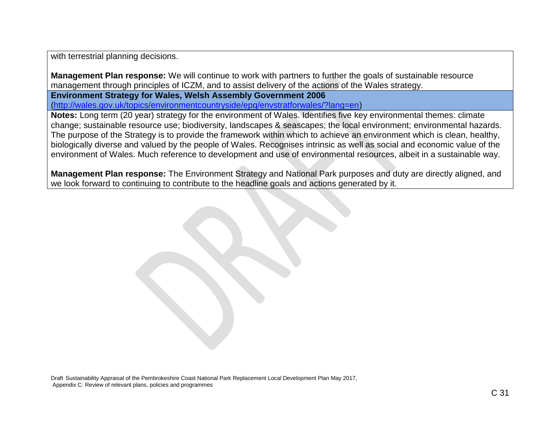with terrestrial planning decisions.

**Management Plan response:** We will continue to work with partners to further the goals of sustainable resource management through principles of ICZM, and to assist delivery of the actions of the Wales strategy.

**Environment Strategy for Wales, Welsh Assembly Government 2006**  [\(http://wales.gov.uk/topics/environmentcountryside/epq/envstratforwales/?lang=en\)](http://wales.gov.uk/topics/environmentcountryside/epq/envstratforwales/?lang=en)

**Notes:** Long term (20 year) strategy for the environment of Wales. Identifies five key environmental themes: climate change; sustainable resource use; biodiversity, landscapes & seascapes; the local environment; environmental hazards. The purpose of the Strategy is to provide the framework within which to achieve an environment which is clean, healthy, biologically diverse and valued by the people of Wales. Recognises intrinsic as well as social and economic value of the environment of Wales. Much reference to development and use of environmental resources, albeit in a sustainable way.

**Management Plan response:** The Environment Strategy and National Park purposes and duty are directly aligned, and we look forward to continuing to contribute to the headline goals and actions generated by it.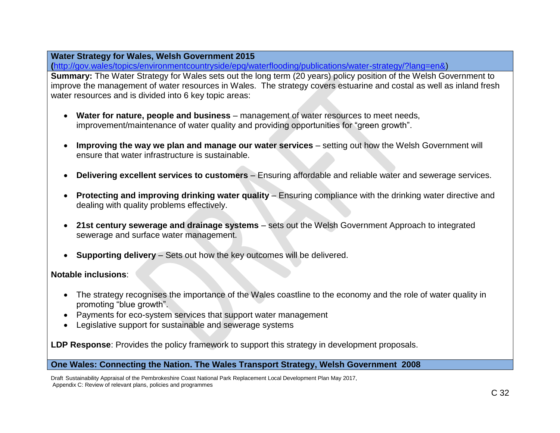### **Water Strategy for Wales, Welsh Government 2015**

**(**[http://gov.wales/topics/environmentcountryside/epq/waterflooding/publications/water-strategy/?lang=en&\)](http://gov.wales/topics/environmentcountryside/epq/waterflooding/publications/water-strategy/?lang=en&)

**Summary:** The Water Strategy for Wales sets out the long term (20 years) policy position of the Welsh Government to improve the management of water resources in Wales. The strategy covers estuarine and costal as well as inland fresh water resources and is divided into 6 key topic areas:

- **Water for nature, people and business** management of water resources to meet needs, improvement/maintenance of water quality and providing opportunities for "green growth".
- **Improving the way we plan and manage our water services** setting out how the Welsh Government will ensure that water infrastructure is sustainable.
- **Delivering excellent services to customers** Ensuring affordable and reliable water and sewerage services.
- **Protecting and improving drinking water quality** Ensuring compliance with the drinking water directive and dealing with quality problems effectively.
- **21st century sewerage and drainage systems** sets out the Welsh Government Approach to integrated sewerage and surface water management.
- **Supporting delivery** Sets out how the key outcomes will be delivered.

### **Notable inclusions**:

- The strategy recognises the importance of the Wales coastline to the economy and the role of water quality in promoting "blue growth".
- Payments for eco-system services that support water management
- Legislative support for sustainable and sewerage systems

**LDP Response**: Provides the policy framework to support this strategy in development proposals.

### **One Wales: Connecting the Nation. The Wales Transport Strategy, Welsh Government 2008**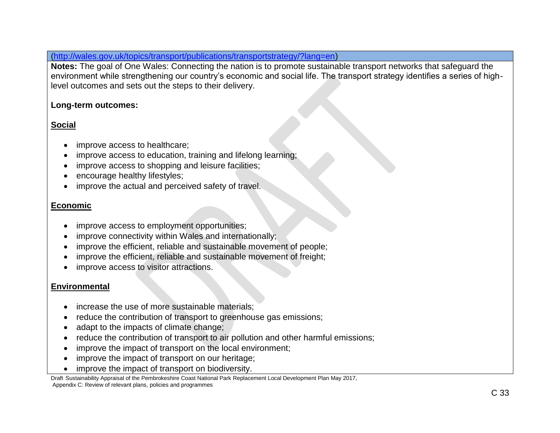[\(http://wales.gov.uk/topics/transport/publications/transportstrategy/?lang=en\)](http://wales.gov.uk/topics/transport/publications/transportstrategy/?lang=en)

**Notes:** The goal of One Wales: Connecting the nation is to promote sustainable transport networks that safeguard the environment while strengthening our country's economic and social life. The transport strategy identifies a series of highlevel outcomes and sets out the steps to their delivery.

# **Long-term outcomes:**

# **Social**

- improve access to healthcare;
- improve access to education, training and lifelong learning;
- improve access to shopping and leisure facilities;
- encourage healthy lifestyles;
- improve the actual and perceived safety of travel.

# **Economic**

- improve access to employment opportunities;
- improve connectivity within Wales and internationally;
- improve the efficient, reliable and sustainable movement of people;
- improve the efficient, reliable and sustainable movement of freight;
- improve access to visitor attractions.

# **Environmental**

- increase the use of more sustainable materials;
- reduce the contribution of transport to greenhouse gas emissions;
- adapt to the impacts of climate change;
- reduce the contribution of transport to air pollution and other harmful emissions;
- improve the impact of transport on the local environment;
- improve the impact of transport on our heritage;
- improve the impact of transport on biodiversity.

Draft Sustainability Appraisal of the Pembrokeshire Coast National Park Replacement Local Development Plan May 2017, Appendix C: Review of relevant plans, policies and programmes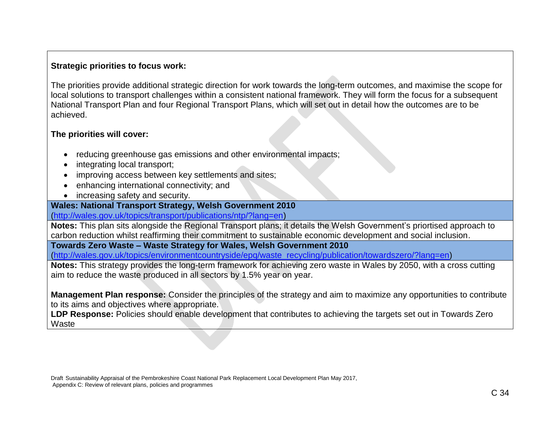# **Strategic priorities to focus work:**

The priorities provide additional strategic direction for work towards the long-term outcomes, and maximise the scope for local solutions to transport challenges within a consistent national framework. They will form the focus for a subsequent National Transport Plan and four Regional Transport Plans, which will set out in detail how the outcomes are to be achieved.

# **The priorities will cover:**

- reducing greenhouse gas emissions and other environmental impacts;
- integrating local transport;
- improving access between key settlements and sites;
- enhancing international connectivity; and
- increasing safety and security.

### **Wales: National Transport Strategy, Welsh Government 2010**

[\(http://wales.gov.uk/topics/transport/publications/ntp/?lang=en\)](http://wales.gov.uk/topics/transport/publications/ntp/?lang=en)

**Notes:** This plan sits alongside the Regional Transport plans; it details the Welsh Government's priortised approach to carbon reduction whilst reaffirming their commitment to sustainable economic development and social inclusion.

**Towards Zero Waste – Waste Strategy for Wales, Welsh Government 2010**

[\(http://wales.gov.uk/topics/environmentcountryside/epq/waste\\_recycling/publication/towardszero/?lang=en\)](http://wales.gov.uk/topics/environmentcountryside/epq/waste_recycling/publication/towardszero/?lang=en)

**Notes:** This strategy provides the long-term framework for achieving zero waste in Wales by 2050, with a cross cutting aim to reduce the waste produced in all sectors by 1.5% year on year.

**Management Plan response:** Consider the principles of the strategy and aim to maximize any opportunities to contribute to its aims and objectives where appropriate.

**LDP Response:** Policies should enable development that contributes to achieving the targets set out in Towards Zero **Waste** 

Draft Sustainability Appraisal of the Pembrokeshire Coast National Park Replacement Local Development Plan May 2017, Appendix C: Review of relevant plans, policies and programmes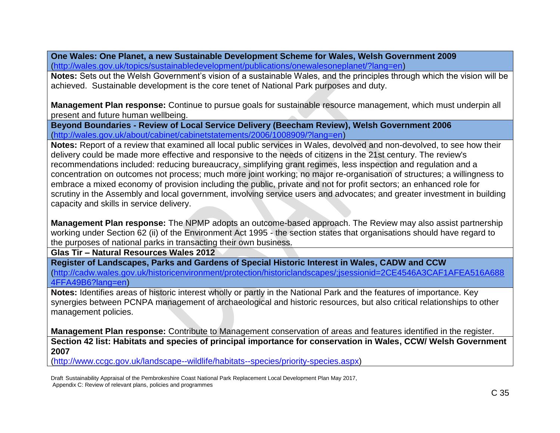**One Wales: One Planet, a new Sustainable Development Scheme for Wales, Welsh Government 2009** [\(http://wales.gov.uk/topics/sustainabledevelopment/publications/onewalesoneplanet/?lang=en\)](http://wales.gov.uk/topics/sustainabledevelopment/publications/onewalesoneplanet/?lang=en)

**Notes:** Sets out the Welsh Government's vision of a sustainable Wales, and the principles through which the vision will be achieved. Sustainable development is the core tenet of National Park purposes and duty.

**Management Plan response:** Continue to pursue goals for sustainable resource management, which must underpin all present and future human wellbeing.

**Beyond Boundaries - Review of Local Service Delivery (Beecham Review), Welsh Government 2006** [\(http://wales.gov.uk/about/cabinet/cabinetstatements/2006/1008909/?lang=en\)](http://wales.gov.uk/about/cabinet/cabinetstatements/2006/1008909/?lang=en)

**Notes:** Report of a review that examined all local public services in Wales, devolved and non-devolved, to see how their delivery could be made more effective and responsive to the needs of citizens in the 21st century. The review's recommendations included: reducing bureaucracy, simplifying grant regimes, less inspection and regulation and a concentration on outcomes not process; much more joint working; no major re-organisation of structures; a willingness to embrace a mixed economy of provision including the public, private and not for profit sectors; an enhanced role for scrutiny in the Assembly and local government, involving service users and advocates; and greater investment in building capacity and skills in service delivery.

**Management Plan response:** The NPMP adopts an outcome-based approach. The Review may also assist partnership working under Section 62 (ii) of the Environment Act 1995 - the section states that organisations should have regard to the purposes of national parks in transacting their own business.

**Glas Tir – Natural Resources Wales 2012** 

**Register of Landscapes, Parks and Gardens of Special Historic Interest in Wales, CADW and CCW** [\(http://cadw.wales.gov.uk/historicenvironment/protection/historiclandscapes/;jsessionid=2CE4546A3CAF1AFEA516A688](http://cadw.wales.gov.uk/historicenvironment/protection/historiclandscapes/;jsessionid=2CE4546A3CAF1AFEA516A6884FFA49B6?lang=en) [4FFA49B6?lang=en\)](http://cadw.wales.gov.uk/historicenvironment/protection/historiclandscapes/;jsessionid=2CE4546A3CAF1AFEA516A6884FFA49B6?lang=en)

**Notes:** Identifies areas of historic interest wholly or partly in the National Park and the features of importance. Key synergies between PCNPA management of archaeological and historic resources, but also critical relationships to other management policies.

**Management Plan response:** Contribute to Management conservation of areas and features identified in the register. **Section 42 list: Habitats and species of principal importance for conservation in Wales, CCW/ Welsh Government 2007**

[\(http://www.ccgc.gov.uk/landscape--wildlife/habitats--species/priority-species.aspx\)](http://www.ccgc.gov.uk/landscape--wildlife/habitats--species/priority-species.aspx)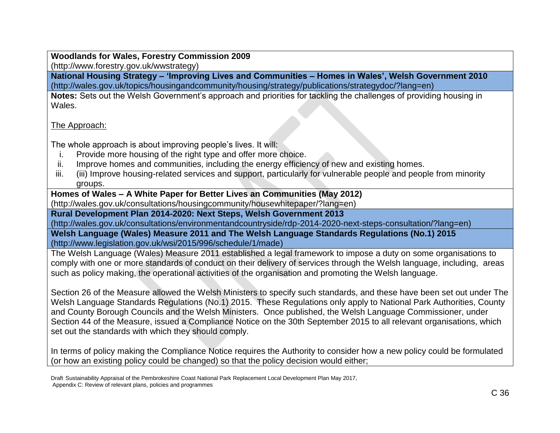**Woodlands for Wales, Forestry Commission 2009** (http://www.forestry.gov.uk/wwstrategy)

**National Housing Strategy – 'Improving Lives and Communities – Homes in Wales', Welsh Government 2010** (http://wales.gov.uk/topics/housingandcommunity/housing/strategy/publications/strategydoc/?lang=en)

**Notes:** Sets out the Welsh Government's approach and priorities for tackling the challenges of providing housing in Wales.

### The Approach:

The whole approach is about improving people's lives. It will:

- i. Provide more housing of the right type and offer more choice.
- ii. Improve homes and communities, including the energy efficiency of new and existing homes.
- iii. (iii) Improve housing-related services and support, particularly for vulnerable people and people from minority groups.

### **Homes of Wales – A White Paper for Better Lives an Communities (May 2012)**

(http://wales.gov.uk/consultations/housingcommunity/housewhitepaper/?lang=en)

**Rural Development Plan 2014-2020: Next Steps, Welsh Government 2013**

(http://wales.gov.uk/consultations/environmentandcountryside/rdp-2014-2020-next-steps-consultation/?lang=en)

**Welsh Language (Wales) Measure 2011 and The Welsh Language Standards Regulations (No.1) 2015** [\(http://www.legislation.gov.uk/wsi/2015/996/schedule/1/made\)](http://www.legislation.gov.uk/wsi/2015/996/schedule/1/made)

The Welsh Language (Wales) Measure 2011 established a legal framework to impose a duty on some organisations to comply with one or more standards of conduct on their delivery of services through the Welsh language, including, areas such as policy making, the operational activities of the organisation and promoting the Welsh language.

Section 26 of the Measure allowed the Welsh Ministers to specify such standards, and these have been set out under The Welsh Language Standards Regulations (No.1) 2015. These Regulations only apply to National Park Authorities, County and County Borough Councils and the Welsh Ministers. Once published, the Welsh Language Commissioner, under Section 44 of the Measure, issued a Compliance Notice on the 30th September 2015 to all relevant organisations, which set out the standards with which they should comply.

In terms of policy making the Compliance Notice requires the Authority to consider how a new policy could be formulated (or how an existing policy could be changed) so that the policy decision would either;

Draft Sustainability Appraisal of the Pembrokeshire Coast National Park Replacement Local Development Plan May 2017, Appendix C: Review of relevant plans, policies and programmes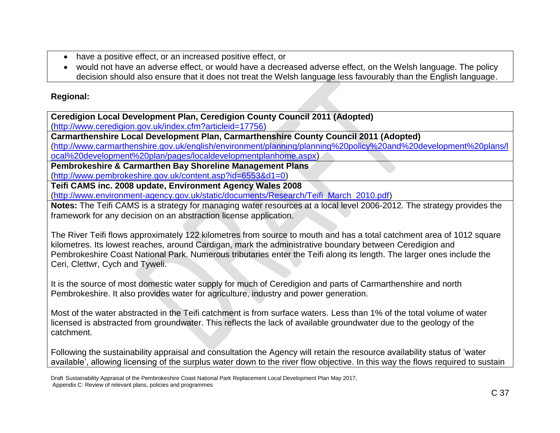- have a positive effect, or an increased positive effect, or
- would not have an adverse effect, or would have a decreased adverse effect, on the Welsh language. The policy decision should also ensure that it does not treat the Welsh language less favourably than the English language.

# **Regional:**

**Ceredigion Local Development Plan, Ceredigion County Council 2011 (Adopted)**

[\(http://www.ceredigion.gov.uk/index.cfm?articleid=17756\)](http://www.ceredigion.gov.uk/index.cfm?articleid=17756)

**Carmarthenshire Local Development Plan, Carmarthenshire County Council 2011 (Adopted)**

[\(http://www.carmarthenshire.gov.uk/english/environment/planning/planning%20policy%20and%20development%20plans/l](http://www.carmarthenshire.gov.uk/english/environment/planning/planning%20policy%20and%20development%20plans/local%20development%20plan/pages/localdevelopmentplanhome.aspx) [ocal%20development%20plan/pages/localdevelopmentplanhome.aspx\)](http://www.carmarthenshire.gov.uk/english/environment/planning/planning%20policy%20and%20development%20plans/local%20development%20plan/pages/localdevelopmentplanhome.aspx)

**Pembrokeshire & Carmarthen Bay Shoreline Management Plans**

[\(http://www.pembrokeshire.gov.uk/content.asp?id=6553&d1=0\)](http://www.pembrokeshire.gov.uk/content.asp?id=6553&d1=0)

**Teifi CAMS inc. 2008 update, Environment Agency Wales 2008**

[\(http://www.environment-agency.gov.uk/static/documents/Research/Teifi\\_March\\_2010.pdf\)](http://www.environment-agency.gov.uk/static/documents/Research/Teifi_March_2010.pdf)

**Notes:** The Teifi CAMS is a strategy for managing water resources at a local level 2006-2012. The strategy provides the framework for any decision on an abstraction license application.

The River Teifi flows approximately 122 kilometres from source to mouth and has a total catchment area of 1012 square kilometres. Its lowest reaches, around Cardigan, mark the administrative boundary between Ceredigion and Pembrokeshire Coast National Park. Numerous tributaries enter the Teifi along its length. The larger ones include the Ceri, Clettwr, Cych and Tyweli.

It is the source of most domestic water supply for much of Ceredigion and parts of Carmarthenshire and north Pembrokeshire. It also provides water for agriculture, industry and power generation.

Most of the water abstracted in the Teifi catchment is from surface waters. Less than 1% of the total volume of water licensed is abstracted from groundwater. This reflects the lack of available groundwater due to the geology of the catchment.

Following the sustainability appraisal and consultation the Agency will retain the resource availability status of 'water available', allowing licensing of the surplus water down to the river flow objective. In this way the flows required to sustain

Draft Sustainability Appraisal of the Pembrokeshire Coast National Park Replacement Local Development Plan May 2017, Appendix C: Review of relevant plans, policies and programmes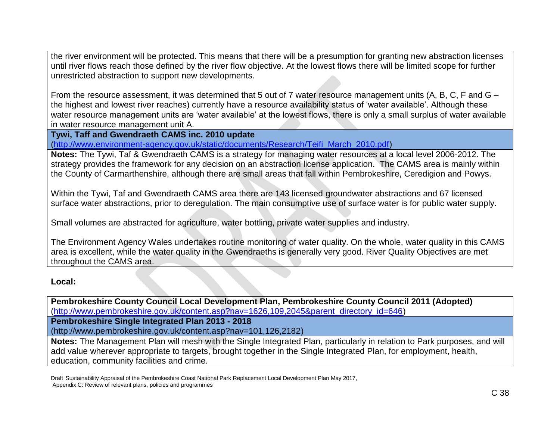the river environment will be protected. This means that there will be a presumption for granting new abstraction licenses until river flows reach those defined by the river flow objective. At the lowest flows there will be limited scope for further unrestricted abstraction to support new developments.

From the resource assessment, it was determined that 5 out of 7 water resource management units (A, B, C, F and G – the highest and lowest river reaches) currently have a resource availability status of 'water available'. Although these water resource management units are 'water available' at the lowest flows, there is only a small surplus of water available in water resource management unit A.

**Tywi, Taff and Gwendraeth CAMS inc. 2010 update**

[\(http://www.environment-agency.gov.uk/static/documents/Research/Teifi\\_March\\_2010.pdf\)](http://www.environment-agency.gov.uk/static/documents/Research/Teifi_March_2010.pdf)

**Notes:** The Tywi, Taf & Gwendraeth CAMS is a strategy for managing water resources at a local level 2006-2012. The strategy provides the framework for any decision on an abstraction license application. The CAMS area is mainly within the County of Carmarthenshire, although there are small areas that fall within Pembrokeshire, Ceredigion and Powys.

Within the Tywi, Taf and Gwendraeth CAMS area there are 143 licensed groundwater abstractions and 67 licensed surface water abstractions, prior to deregulation. The main consumptive use of surface water is for public water supply.

Small volumes are abstracted for agriculture, water bottling, private water supplies and industry.

The Environment Agency Wales undertakes routine monitoring of water quality. On the whole, water quality in this CAMS area is excellent, while the water quality in the Gwendraeths is generally very good. River Quality Objectives are met throughout the CAMS area.

**Local:**

**Pembrokeshire County Council Local Development Plan, Pembrokeshire County Council 2011 (Adopted)**  [\(http://www.pembrokeshire.gov.uk/content.asp?nav=1626,109,2045&parent\\_directory\\_id=646\)](http://www.pembrokeshire.gov.uk/content.asp?nav=1626,109,2045&parent_directory_id=646)

**Pembrokeshire Single Integrated Plan 2013 - 2018**

(http://www.pembrokeshire.gov.uk/content.asp?nav=101,126,2182)

**Notes:** The Management Plan will mesh with the Single Integrated Plan, particularly in relation to Park purposes, and will add value wherever appropriate to targets, brought together in the Single Integrated Plan, for employment, health, education, community facilities and crime.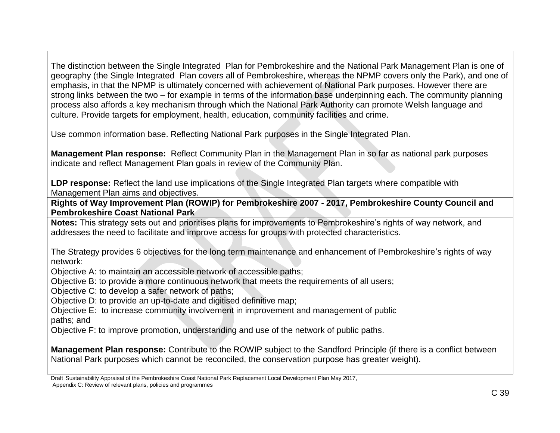The distinction between the Single Integrated Plan for Pembrokeshire and the National Park Management Plan is one of geography (the Single Integrated Plan covers all of Pembrokeshire, whereas the NPMP covers only the Park), and one of emphasis, in that the NPMP is ultimately concerned with achievement of National Park purposes. However there are strong links between the two – for example in terms of the information base underpinning each. The community planning process also affords a key mechanism through which the National Park Authority can promote Welsh language and culture. Provide targets for employment, health, education, community facilities and crime.

Use common information base. Reflecting National Park purposes in the Single Integrated Plan.

**Management Plan response:** Reflect Community Plan in the Management Plan in so far as national park purposes indicate and reflect Management Plan goals in review of the Community Plan.

**LDP response:** Reflect the land use implications of the Single Integrated Plan targets where compatible with Management Plan aims and objectives.

**Rights of Way Improvement Plan (ROWIP) for Pembrokeshire 2007 - 2017, Pembrokeshire County Council and Pembrokeshire Coast National Park**

**Notes:** This strategy sets out and prioritises plans for improvements to Pembrokeshire's rights of way network, and addresses the need to facilitate and improve access for groups with protected characteristics.

The Strategy provides 6 objectives for the long term maintenance and enhancement of Pembrokeshire's rights of way network:

Objective A: to maintain an accessible network of accessible paths;

Objective B: to provide a more continuous network that meets the requirements of all users;

Objective C: to develop a safer network of paths;

Objective D: to provide an up-to-date and digitised definitive map;

Objective E: to increase community involvement in improvement and management of public

paths; and

Objective F: to improve promotion, understanding and use of the network of public paths.

**Management Plan response:** Contribute to the ROWIP subject to the Sandford Principle (if there is a conflict between National Park purposes which cannot be reconciled, the conservation purpose has greater weight).

Draft Sustainability Appraisal of the Pembrokeshire Coast National Park Replacement Local Development Plan May 2017, Appendix C: Review of relevant plans, policies and programmes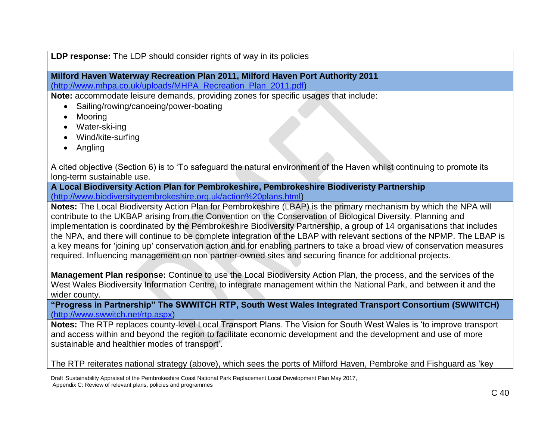**LDP response:** The LDP should consider rights of way in its policies

**Milford Haven Waterway Recreation Plan 2011, Milford Haven Port Authority 2011** [\(http://www.mhpa.co.uk/uploads/MHPA\\_Recreation\\_Plan\\_2011.pdf\)](http://www.mhpa.co.uk/uploads/MHPA_Recreation_Plan_2011.pdf)

**Note:** accommodate leisure demands, providing zones for specific usages that include:

- Sailing/rowing/canoeing/power-boating
- Mooring
- Water-ski-ing
- Wind/kite-surfing
- Angling

A cited objective (Section 6) is to 'To safeguard the natural environment of the Haven whilst continuing to promote its long-term sustainable use.

**A Local Biodiversity Action Plan for Pembrokeshire, Pembrokeshire Biodiveristy Partnership**  [\(http://www.biodiversitypembrokeshire.org.uk/action%20plans.html\)](http://www.biodiversitypembrokeshire.org.uk/action%20plans.html)

**Notes:** The Local Biodiversity Action Plan for Pembrokeshire (LBAP) is the primary mechanism by which the NPA will contribute to the UKBAP arising from the Convention on the Conservation of Biological Diversity. Planning and implementation is coordinated by the Pembrokeshire Biodiversity Partnership, a group of 14 organisations that includes the NPA, and there will continue to be complete integration of the LBAP with relevant sections of the NPMP. The LBAP is a key means for 'joining up' conservation action and for enabling partners to take a broad view of conservation measures required. Influencing management on non partner-owned sites and securing finance for additional projects.

**Management Plan response:** Continue to use the Local Biodiversity Action Plan, the process, and the services of the West Wales Biodiversity Information Centre, to integrate management within the National Park, and between it and the wider county.

**"Progress in Partnership" The SWWITCH RTP, South West Wales Integrated Transport Consortium (SWWITCH)** [\(http://www.swwitch.net/rtp.aspx\)](http://www.swwitch.net/rtp.aspx)

**Notes:** The RTP replaces county-level Local Transport Plans. The Vision for South West Wales is 'to improve transport and access within and beyond the region to facilitate economic development and the development and use of more sustainable and healthier modes of transport'.

The RTP reiterates national strategy (above), which sees the ports of Milford Haven, Pembroke and Fishguard as 'key

Draft Sustainability Appraisal of the Pembrokeshire Coast National Park Replacement Local Development Plan May 2017, Appendix C: Review of relevant plans, policies and programmes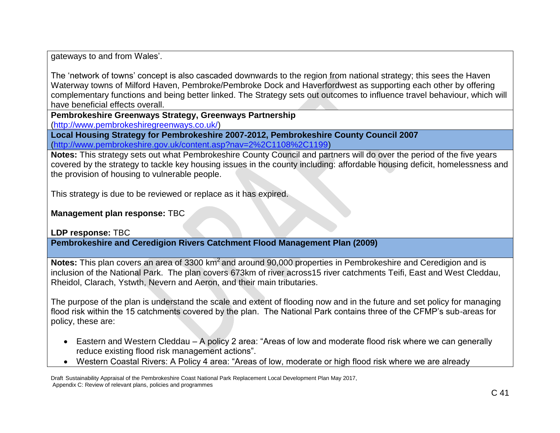gateways to and from Wales'.

The 'network of towns' concept is also cascaded downwards to the region from national strategy; this sees the Haven Waterway towns of Milford Haven, Pembroke/Pembroke Dock and Haverfordwest as supporting each other by offering complementary functions and being better linked. The Strategy sets out outcomes to influence travel behaviour, which will have beneficial effects overall.

**Pembrokeshire Greenways Strategy, Greenways Partnership**

[\(http://www.pembrokeshiregreenways.co.uk/\)](http://www.pembrokeshiregreenways.co.uk/)

**Local Housing Strategy for Pembrokeshire 2007-2012, Pembrokeshire County Council 2007**  [\(http://www.pembrokeshire.gov.uk/content.asp?nav=2%2C1108%2C1199\)](http://www.pembrokeshire.gov.uk/content.asp?nav=2%2C1108%2C1199)

**Notes:** This strategy sets out what Pembrokeshire County Council and partners will do over the period of the five years covered by the strategy to tackle key housing issues in the county including: affordable housing deficit, homelessness and the provision of housing to vulnerable people.

This strategy is due to be reviewed or replace as it has expired.

**Management plan response:** TBC

**LDP response:** TBC

**Pembrokeshire and Ceredigion Rivers Catchment Flood Management Plan (2009)**

Notes: This plan covers an area of 3300 km<sup>2</sup> and around 90,000 properties in Pembrokeshire and Ceredigion and is inclusion of the National Park. The plan covers 673km of river across15 river catchments Teifi, East and West Cleddau, Rheidol, Clarach, Ystwth, Nevern and Aeron, and their main tributaries.

The purpose of the plan is understand the scale and extent of flooding now and in the future and set policy for managing flood risk within the 15 catchments covered by the plan. The National Park contains three of the CFMP's sub-areas for policy, these are:

- Eastern and Western Cleddau A policy 2 area: "Areas of low and moderate flood risk where we can generally reduce existing flood risk management actions".
- Western Coastal Rivers: A Policy 4 area: "Areas of low, moderate or high flood risk where we are already

Draft Sustainability Appraisal of the Pembrokeshire Coast National Park Replacement Local Development Plan May 2017, Appendix C: Review of relevant plans, policies and programmes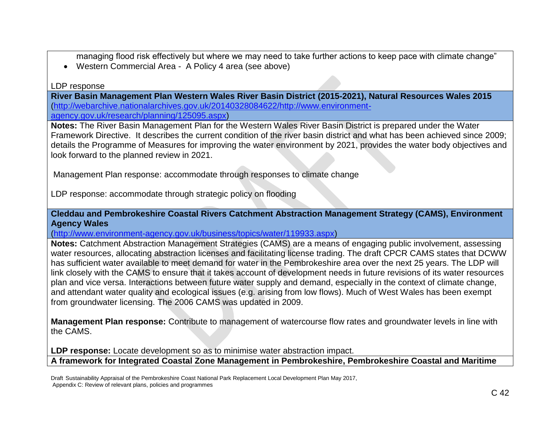managing flood risk effectively but where we may need to take further actions to keep pace with climate change"

Western Commercial Area - A Policy 4 area (see above)

LDP response

**River Basin Management Plan Western Wales River Basin District (2015-2021), Natural Resources Wales 2015** [\(http://webarchive.nationalarchives.gov.uk/20140328084622/http://www.environment-](http://webarchive.nationalarchives.gov.uk/20140328084622/http:/www.environment-agency.gov.uk/research/planning/125095.aspx)

[agency.gov.uk/research/planning/125095.aspx\)](http://webarchive.nationalarchives.gov.uk/20140328084622/http:/www.environment-agency.gov.uk/research/planning/125095.aspx)

**Notes:** The River Basin Management Plan for the Western Wales River Basin District is prepared under the Water Framework Directive. It describes the current condition of the river basin district and what has been achieved since 2009; details the Programme of Measures for improving the water environment by 2021, provides the water body objectives and look forward to the planned review in 2021.

Management Plan response: accommodate through responses to climate change

LDP response: accommodate through strategic policy on flooding

**Cleddau and Pembrokeshire Coastal Rivers Catchment Abstraction Management Strategy (CAMS), Environment Agency Wales** 

[\(http://www.environment-agency.gov.uk/business/topics/water/119933.aspx\)](http://www.environment-agency.gov.uk/business/topics/water/119933.aspx)

**Notes:** Catchment Abstraction Management Strategies (CAMS) are a means of engaging public involvement, assessing water resources, allocating abstraction licenses and facilitating license trading. The draft CPCR CAMS states that DCWW has sufficient water available to meet demand for water in the Pembrokeshire area over the next 25 years. The LDP will link closely with the CAMS to ensure that it takes account of development needs in future revisions of its water resources plan and vice versa. Interactions between future water supply and demand, especially in the context of climate change, and attendant water quality and ecological issues (e.g. arising from low flows). Much of West Wales has been exempt from groundwater licensing. The 2006 CAMS was updated in 2009.

**Management Plan response:** Contribute to management of watercourse flow rates and groundwater levels in line with the CAMS.

LDP response: Locate development so as to minimise water abstraction impact. **A framework for Integrated Coastal Zone Management in Pembrokeshire, Pembrokeshire Coastal and Maritime** 

Draft Sustainability Appraisal of the Pembrokeshire Coast National Park Replacement Local Development Plan May 2017, Appendix C: Review of relevant plans, policies and programmes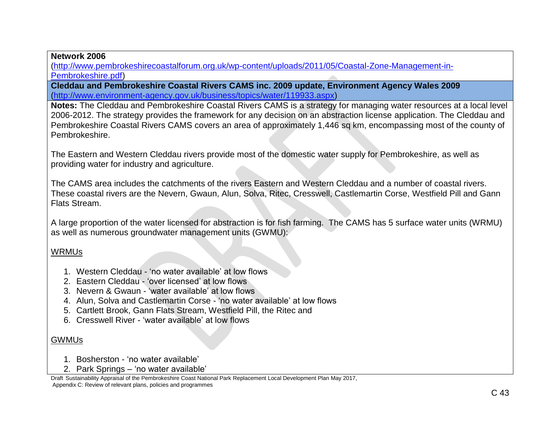**Network 2006** 

[\(http://www.pembrokeshirecoastalforum.org.uk/wp-content/uploads/2011/05/Coastal-Zone-Management-in-](http://www.pembrokeshirecoastalforum.org.uk/wp-content/uploads/2011/05/Coastal-Zone-Management-in-Pembrokeshire.pdf)[Pembrokeshire.pdf\)](http://www.pembrokeshirecoastalforum.org.uk/wp-content/uploads/2011/05/Coastal-Zone-Management-in-Pembrokeshire.pdf)

**Cleddau and Pembrokeshire Coastal Rivers CAMS inc. 2009 update, Environment Agency Wales 2009** [\(http://www.environment-agency.gov.uk/business/topics/water/119933.aspx\)](http://www.environment-agency.gov.uk/business/topics/water/119933.aspx)

**Notes:** The Cleddau and Pembrokeshire Coastal Rivers CAMS is a strategy for managing water resources at a local level 2006-2012. The strategy provides the framework for any decision on an abstraction license application. The Cleddau and Pembrokeshire Coastal Rivers CAMS covers an area of approximately 1,446 sq km, encompassing most of the county of Pembrokeshire.

The Eastern and Western Cleddau rivers provide most of the domestic water supply for Pembrokeshire, as well as providing water for industry and agriculture.

The CAMS area includes the catchments of the rivers Eastern and Western Cleddau and a number of coastal rivers. These coastal rivers are the Nevern, Gwaun, Alun, Solva, Ritec, Cresswell, Castlemartin Corse, Westfield Pill and Gann Flats Stream.

A large proportion of the water licensed for abstraction is for fish farming. The CAMS has 5 surface water units (WRMU) as well as numerous groundwater management units (GWMU):

### WRMUs

- 1. Western Cleddau 'no water available' at low flows
- 2. Eastern Cleddau 'over licensed' at low flows
- 3. Nevern & Gwaun 'water available' at low flows
- 4. Alun, Solva and Castlemartin Corse 'no water available' at low flows
- 5. Cartlett Brook, Gann Flats Stream, Westfield Pill, the Ritec and
- 6. Cresswell River 'water available' at low flows

# GWMUs

- 1. Bosherston 'no water available'
- 2. Park Springs 'no water available'

Draft Sustainability Appraisal of the Pembrokeshire Coast National Park Replacement Local Development Plan May 2017, Appendix C: Review of relevant plans, policies and programmes